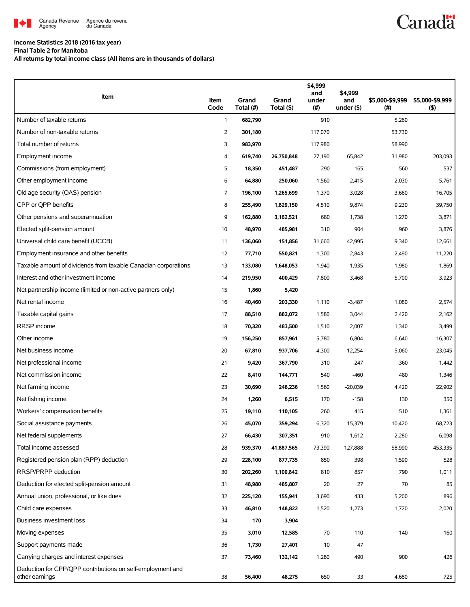

## **Income Statistics 2018 (2016 tax year)**

**Final Table 2 for Manitoba**

**All returns by total income class (All items are in thousands of dollars)**

| Item                                                                         | Item<br>Code | Grand<br>Total (#) | Grand<br>Total (\$) | \$4,999<br>and<br>under<br>(#) | \$4,999<br>and<br>under $($ \$) | \$5,000-\$9,999<br>(# ) | \$5,000-\$9,999<br>(5) |
|------------------------------------------------------------------------------|--------------|--------------------|---------------------|--------------------------------|---------------------------------|-------------------------|------------------------|
| Number of taxable returns                                                    | $\mathbf{1}$ | 682,790            |                     | 910                            |                                 | 5,260                   |                        |
| Number of non-taxable returns                                                | 2            | 301,180            |                     | 117,070                        |                                 | 53,730                  |                        |
| Total number of returns                                                      | 3            | 983,970            |                     | 117,980                        |                                 | 58,990                  |                        |
| Employment income                                                            | 4            | 619,740            | 26,750,848          | 27,190                         | 65,842                          | 31,980                  | 203,093                |
| Commissions (from employment)                                                | 5            | 18,350             | 451,487             | 290                            | 165                             | 560                     | 537                    |
| Other employment income                                                      | 6            | 64,880             | 250,060             | 1,560                          | 2,415                           | 2,030                   | 5,761                  |
| Old age security (OAS) pension                                               | 7            | 196,100            | 1,265,699           | 1,370                          | 3,028                           | 3,660                   | 16,705                 |
| CPP or QPP benefits                                                          | 8            | 255,490            | 1,829,150           | 4,510                          | 9,874                           | 9,230                   | 39,750                 |
| Other pensions and superannuation                                            | 9            | 162,880            | 3,162,521           | 680                            | 1,738                           | 1,270                   | 3,871                  |
| Elected split-pension amount                                                 | 10           | 48,970             | 485,981             | 310                            | 904                             | 960                     | 3,876                  |
| Universal child care benefit (UCCB)                                          | 11           | 136,060            | 151,856             | 31,660                         | 42,995                          | 9,340                   | 12,661                 |
| Employment insurance and other benefits                                      | 12           | 77,710             | 550,821             | 1,300                          | 2,843                           | 2,490                   | 11,220                 |
| Taxable amount of dividends from taxable Canadian corporations               | 13           | 133,080            | 1,648,053           | 1,940                          | 1,935                           | 1,980                   | 1,869                  |
| Interest and other investment income                                         | 14           | 219,950            | 400,429             | 7,800                          | 3,468                           | 5,700                   | 3,923                  |
| Net partnership income (limited or non-active partners only)                 | 15           | 1,860              | 5,420               |                                |                                 |                         |                        |
| Net rental income                                                            | 16           | 40,460             | 203,330             | 1,110                          | $-3,487$                        | 1,080                   | 2,574                  |
| Taxable capital gains                                                        | 17           | 88,510             | 882,072             | 1,580                          | 3,044                           | 2,420                   | 2,162                  |
| RRSP income                                                                  | 18           | 70,320             | 483,500             | 1,510                          | 2,007                           | 1,340                   | 3,499                  |
| Other income                                                                 | 19           | 156,250            | 857,961             | 5,780                          | 6,804                           | 6,640                   | 16,307                 |
| Net business income                                                          | 20           | 67,810             | 937,706             | 4,300                          | $-12,254$                       | 5,060                   | 23,045                 |
| Net professional income                                                      | 21           | 9,420              | 367,790             | 310                            | 247                             | 360                     | 1,442                  |
| Net commission income                                                        | 22           | 8,410              | 144,771             | 540                            | $-460$                          | 480                     | 1,346                  |
| Net farming income                                                           | 23           | 30,690             | 246,236             | 1,560                          | $-20,039$                       | 4,420                   | 22,902                 |
| Net fishing income                                                           | 24           | 1,260              | 6,515               | 170                            | $-158$                          | 130                     | 350                    |
| Workers' compensation benefits                                               | 25           | 19,110             | 110,105             | 260                            | 415                             | 510                     | 1,361                  |
| Social assistance payments                                                   | 26           | 45,070             | 359,294             | 6,320                          | 15,379                          | 10,420                  | 68,723                 |
| Net federal supplements                                                      | 27           | 66,430             | 307,351             | 910                            | 1,612                           | 2,280                   | 6,098                  |
| Total income assessed                                                        | 28           | 939,370            | 41,887,565          | 73,390                         | 127,888                         | 58,990                  | 453,335                |
| Registered pension plan (RPP) deduction                                      | 29           | 228,100            | 877,735             | 850                            | 398                             | 1,590                   | 528                    |
| RRSP/PRPP deduction                                                          | 30           | 202,260            | 1,100,842           | 810                            | 857                             | 790                     | 1,011                  |
| Deduction for elected split-pension amount                                   | 31           | 48,980             | 485,807             | 20                             | 27                              | 70                      | 85                     |
| Annual union, professional, or like dues                                     | 32           | 225,120            | 155,941             | 3,690                          | 433                             | 5,200                   | 896                    |
| Child care expenses                                                          | 33           | 46,810             | 148,822             | 1,520                          | 1,273                           | 1,720                   | 2,020                  |
| Business investment loss                                                     | 34           | 170                | 3,904               |                                |                                 |                         |                        |
| Moving expenses                                                              | 35           | 3,010              | 12,585              | 70                             | 110                             | 140                     | 160                    |
| Support payments made                                                        | 36           | 1,730              | 27,401              | 10                             | 47                              |                         |                        |
| Carrying charges and interest expenses                                       | 37           | 73,460             | 132,142             | 1,280                          | 490                             | 900                     | 426                    |
| Deduction for CPP/QPP contributions on self-employment and<br>other earnings | 38           | 56,400             | 48,275              | 650                            | 33                              | 4,680                   | 725                    |

**Canadä**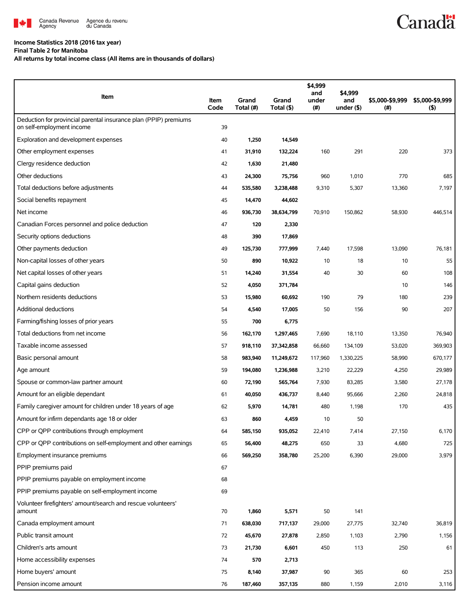

## **Income Statistics 2018 (2016 tax year)**

**Final Table 2 for Manitoba**

**All returns by total income class (All items are in thousands of dollars)**

| Item                                                                                          | Item<br>Code | Grand<br>Total (#) | Grand<br>Total (\$) | \$4,999<br>and<br>under<br>(#) | \$4,999<br>and<br>under $($ \$) | \$5,000-\$9,999<br>$($ # $)$ | \$5,000-\$9,999<br>(5) |
|-----------------------------------------------------------------------------------------------|--------------|--------------------|---------------------|--------------------------------|---------------------------------|------------------------------|------------------------|
| Deduction for provincial parental insurance plan (PPIP) premiums<br>on self-employment income | 39           |                    |                     |                                |                                 |                              |                        |
| Exploration and development expenses                                                          | 40           | 1,250              | 14,549              |                                |                                 |                              |                        |
| Other employment expenses                                                                     | 41           | 31,910             | 132,224             | 160                            | 291                             | 220                          | 373                    |
| Clergy residence deduction                                                                    | 42           | 1,630              | 21,480              |                                |                                 |                              |                        |
| Other deductions                                                                              | 43           | 24,300             | 75,756              | 960                            | 1,010                           | 770                          | 685                    |
| Total deductions before adjustments                                                           | 44           | 535,580            | 3,238,488           | 9,310                          | 5,307                           | 13,360                       | 7,197                  |
| Social benefits repayment                                                                     | 45           | 14,470             | 44,602              |                                |                                 |                              |                        |
| Net income                                                                                    | 46           | 936,730            | 38,634,799          | 70,910                         | 150,862                         | 58,930                       | 446,514                |
| Canadian Forces personnel and police deduction                                                | 47           | 120                | 2,330               |                                |                                 |                              |                        |
| Security options deductions                                                                   | 48           | 390                | 17,869              |                                |                                 |                              |                        |
| Other payments deduction                                                                      | 49           | 125,730            | 777,999             | 7,440                          | 17,598                          | 13,090                       | 76,181                 |
| Non-capital losses of other years                                                             | 50           | 890                | 10,922              | 10                             | 18                              | 10                           | 55                     |
| Net capital losses of other years                                                             | 51           | 14,240             | 31,554              | 40                             | 30                              | 60                           | 108                    |
| Capital gains deduction                                                                       | 52           | 4,050              | 371,784             |                                |                                 | 10                           | 146                    |
| Northern residents deductions                                                                 | 53           | 15,980             | 60,692              | 190                            | 79                              | 180                          | 239                    |
| Additional deductions                                                                         | 54           | 4,540              | 17,005              | 50                             | 156                             | 90                           | 207                    |
| Farming/fishing losses of prior years                                                         | 55           | 700                | 6,775               |                                |                                 |                              |                        |
| Total deductions from net income                                                              | 56           | 162,170            | 1,297,465           | 7,690                          | 18,110                          | 13,350                       | 76,940                 |
| Taxable income assessed                                                                       | 57           | 918,110            | 37,342,858          | 66,660                         | 134,109                         | 53,020                       | 369,903                |
| Basic personal amount                                                                         | 58           | 983,940            | 11,249,672          | 117,960                        | 1,330,225                       | 58,990                       | 670,177                |
| Age amount                                                                                    | 59           | 194,080            | 1,236,988           | 3,210                          | 22,229                          | 4,250                        | 29,989                 |
| Spouse or common-law partner amount                                                           | 60           | 72,190             | 565,764             | 7,930                          | 83,285                          | 3,580                        | 27,178                 |
| Amount for an eligible dependant                                                              | 61           | 40,050             | 436,737             | 8,440                          | 95,666                          | 2,260                        | 24,818                 |
| Family caregiver amount for children under 18 years of age                                    | 62           | 5,970              | 14,781              | 480                            | 1,198                           | 170                          | 435                    |
| Amount for infirm dependants age 18 or older                                                  | 63           | 860                | 4,459               | 10                             | 50                              |                              |                        |
| CPP or QPP contributions through employment                                                   | 64           | 585,150            | 935,052             | 22,410                         | 7,414                           | 27,150                       | 6,170                  |
| CPP or QPP contributions on self-employment and other earnings                                | 65           | 56,400             | 48,275              | 650                            | 33                              | 4,680                        | 725                    |
| Employment insurance premiums                                                                 | 66           | 569,250            | 358,780             | 25,200                         | 6,390                           | 29,000                       | 3,979                  |
| PPIP premiums paid                                                                            | 67           |                    |                     |                                |                                 |                              |                        |
| PPIP premiums payable on employment income                                                    | 68           |                    |                     |                                |                                 |                              |                        |
| PPIP premiums payable on self-employment income                                               | 69           |                    |                     |                                |                                 |                              |                        |
| Volunteer firefighters' amount/search and rescue volunteers'<br>amount                        | 70           | 1,860              | 5,571               | 50                             | 141                             |                              |                        |
| Canada employment amount                                                                      | 71           | 638,030            | 717,137             | 29,000                         | 27,775                          | 32,740                       | 36,819                 |
| Public transit amount                                                                         | 72           | 45,670             | 27,878              | 2,850                          | 1,103                           | 2,790                        | 1,156                  |
| Children's arts amount                                                                        | 73           | 21,730             | 6,601               | 450                            | 113                             | 250                          | 61                     |
| Home accessibility expenses                                                                   | 74           | 570                | 2,713               |                                |                                 |                              |                        |
| Home buyers' amount                                                                           | 75           | 8,140              | 37,987              | 90                             | 365                             | 60                           | 253                    |
| Pension income amount                                                                         | 76           | 187,460            | 357,135             | 880                            | 1,159                           | 2,010                        | 3,116                  |

**Canadä**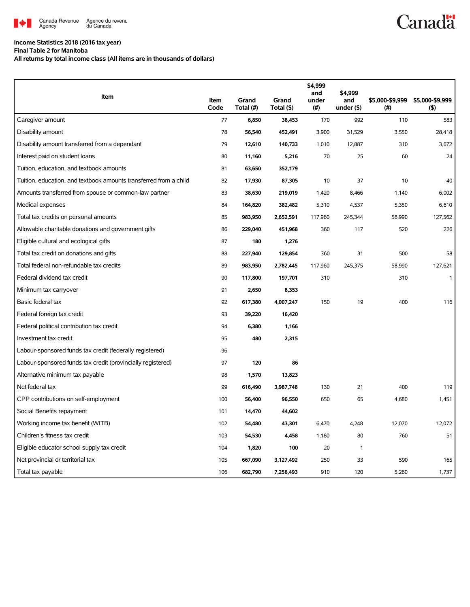

## **Income Statistics 2018 (2016 tax year)**

**Final Table 2 for Manitoba**

**All returns by total income class (All items are in thousands of dollars)**

| Item                                                              | Item | Grand     | Grand      | \$4,999<br>and<br>under | \$4,999<br>and | \$5,000-\$9,999 | \$5,000-\$9,999 |
|-------------------------------------------------------------------|------|-----------|------------|-------------------------|----------------|-----------------|-----------------|
|                                                                   | Code | Total (#) | Total (\$) | (# )                    | under $($ \$)  | (# )            | (5)             |
| Caregiver amount                                                  | 77   | 6,850     | 38,453     | 170                     | 992            | 110             | 583             |
| Disability amount                                                 | 78   | 56,540    | 452,491    | 3,900                   | 31,529         | 3,550           | 28,418          |
| Disability amount transferred from a dependant                    | 79   | 12,610    | 140,733    | 1,010                   | 12,887         | 310             | 3,672           |
| Interest paid on student loans                                    | 80   | 11,160    | 5,216      | 70                      | 25             | 60              | 24              |
| Tuition, education, and textbook amounts                          | 81   | 63,650    | 352,179    |                         |                |                 |                 |
| Tuition, education, and textbook amounts transferred from a child | 82   | 17,930    | 87,305     | 10                      | 37             | 10              | 40              |
| Amounts transferred from spouse or common-law partner             | 83   | 38,630    | 219,019    | 1,420                   | 8,466          | 1,140           | 6,002           |
| Medical expenses                                                  | 84   | 164,820   | 382,482    | 5,310                   | 4,537          | 5,350           | 6.610           |
| Total tax credits on personal amounts                             | 85   | 983,950   | 2,652,591  | 117,960                 | 245,344        | 58,990          | 127,562         |
| Allowable charitable donations and government gifts               | 86   | 229,040   | 451,968    | 360                     | 117            | 520             | 226             |
| Eligible cultural and ecological gifts                            | 87   | 180       | 1,276      |                         |                |                 |                 |
| Total tax credit on donations and gifts                           | 88   | 227,940   | 129,854    | 360                     | 31             | 500             | 58              |
| Total federal non-refundable tax credits                          | 89   | 983,950   | 2,782,445  | 117,960                 | 245,375        | 58,990          | 127,621         |
| Federal dividend tax credit                                       | 90   | 117,800   | 197,701    | 310                     |                | 310             | $\mathbf{1}$    |
| Minimum tax carryover                                             | 91   | 2,650     | 8,353      |                         |                |                 |                 |
| Basic federal tax                                                 | 92   | 617,380   | 4,007,247  | 150                     | 19             | 400             | 116             |
| Federal foreign tax credit                                        | 93   | 39,220    | 16,420     |                         |                |                 |                 |
| Federal political contribution tax credit                         | 94   | 6,380     | 1,166      |                         |                |                 |                 |
| Investment tax credit                                             | 95   | 480       | 2,315      |                         |                |                 |                 |
| Labour-sponsored funds tax credit (federally registered)          | 96   |           |            |                         |                |                 |                 |
| Labour-sponsored funds tax credit (provincially registered)       | 97   | 120       | 86         |                         |                |                 |                 |
| Alternative minimum tax payable                                   | 98   | 1,570     | 13,823     |                         |                |                 |                 |
| Net federal tax                                                   | 99   | 616,490   | 3,987,748  | 130                     | 21             | 400             | 119             |
| CPP contributions on self-employment                              | 100  | 56,400    | 96,550     | 650                     | 65             | 4,680           | 1,451           |
| Social Benefits repayment                                         | 101  | 14,470    | 44,602     |                         |                |                 |                 |
| Working income tax benefit (WITB)                                 | 102  | 54,480    | 43,301     | 6,470                   | 4,248          | 12,070          | 12,072          |
| Children's fitness tax credit                                     | 103  | 54,530    | 4,458      | 1,180                   | 80             | 760             | 51              |
| Eligible educator school supply tax credit                        | 104  | 1,820     | 100        | 20                      | 1              |                 |                 |
| Net provincial or territorial tax                                 | 105  | 667,090   | 3,127,492  | 250                     | 33             | 590             | 165             |
| Total tax payable                                                 | 106  | 682,790   | 7,256,493  | 910                     | 120            | 5,260           | 1,737           |

**Canadä**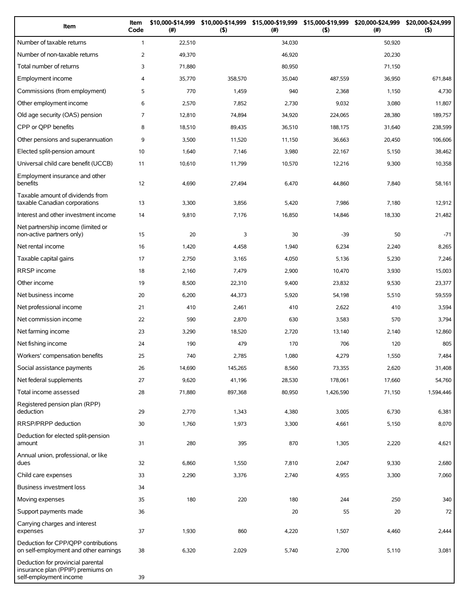| Item                                                                                             | Item<br>Code   | \$10,000-\$14,999<br>(#) | \$10,000-\$14,999<br>(5) | \$15,000-\$19,999<br>(# ) | \$15,000-\$19,999<br>(5) | \$20,000-\$24,999<br>(#) | \$20,000-\$24,999<br>(5) |
|--------------------------------------------------------------------------------------------------|----------------|--------------------------|--------------------------|---------------------------|--------------------------|--------------------------|--------------------------|
| Number of taxable returns                                                                        | $\mathbf{1}$   | 22,510                   |                          | 34,030                    |                          | 50,920                   |                          |
| Number of non-taxable returns                                                                    | $\overline{2}$ | 49,370                   |                          | 46,920                    |                          | 20,230                   |                          |
| Total number of returns                                                                          | 3              | 71,880                   |                          | 80,950                    |                          | 71,150                   |                          |
| Employment income                                                                                | 4              | 35,770                   | 358,570                  | 35,040                    | 487,559                  | 36,950                   | 671,848                  |
| Commissions (from employment)                                                                    | 5              | 770                      | 1,459                    | 940                       | 2,368                    | 1,150                    | 4,730                    |
| Other employment income                                                                          | 6              | 2,570                    | 7,852                    | 2,730                     | 9,032                    | 3,080                    | 11,807                   |
| Old age security (OAS) pension                                                                   | $\overline{7}$ | 12,810                   | 74,894                   | 34,920                    | 224,065                  | 28,380                   | 189,757                  |
| CPP or QPP benefits                                                                              | 8              | 18,510                   | 89,435                   | 36,510                    | 188,175                  | 31,640                   | 238,599                  |
| Other pensions and superannuation                                                                | 9              | 3,500                    | 11,520                   | 11,150                    | 36,663                   | 20,450                   | 106,606                  |
| Elected split-pension amount                                                                     | 10             | 1,640                    | 7,146                    | 3,980                     | 22,167                   | 5,150                    | 38,462                   |
| Universal child care benefit (UCCB)                                                              | 11             | 10,610                   | 11,799                   | 10,570                    | 12,216                   | 9,300                    | 10,358                   |
| Employment insurance and other<br>benefits                                                       | 12             | 4,690                    | 27,494                   | 6,470                     | 44,860                   | 7,840                    | 58,161                   |
| Taxable amount of dividends from<br>taxable Canadian corporations                                | 13             | 3,300                    | 3,856                    | 5,420                     | 7,986                    | 7,180                    | 12,912                   |
| Interest and other investment income                                                             | 14             | 9,810                    | 7,176                    | 16,850                    | 14,846                   | 18,330                   | 21,482                   |
| Net partnership income (limited or<br>non-active partners only)                                  | 15             | 20                       | 3                        | 30                        | $-39$                    | 50                       | $-71$                    |
| Net rental income                                                                                | 16             | 1,420                    | 4,458                    | 1,940                     | 6,234                    | 2,240                    | 8,265                    |
| Taxable capital gains                                                                            | 17             | 2,750                    | 3,165                    | 4,050                     | 5,136                    | 5,230                    | 7,246                    |
| <b>RRSP</b> income                                                                               | 18             | 2,160                    | 7,479                    | 2,900                     | 10,470                   | 3,930                    | 15,003                   |
| Other income                                                                                     | 19             | 8,500                    | 22,310                   | 9,400                     | 23,832                   | 9,530                    | 23,377                   |
| Net business income                                                                              | 20             | 6,200                    | 44,373                   | 5,920                     | 54,198                   | 5,510                    | 59,559                   |
| Net professional income                                                                          | 21             | 410                      | 2,461                    | 410                       | 2,622                    | 410                      | 3,594                    |
| Net commission income                                                                            | 22             | 590                      | 2,870                    | 630                       | 3,583                    | 570                      | 3,794                    |
| Net farming income                                                                               | 23             | 3,290                    | 18,520                   | 2,720                     | 13,140                   | 2,140                    | 12,860                   |
| Net fishing income                                                                               | 24             | 190                      | 479                      | 170                       | 706                      | 120                      | 805                      |
| Workers' compensation benefits                                                                   | 25             | 740                      | 2,785                    | 1,080                     | 4,279                    | 1,550                    | 7,484                    |
| Social assistance payments                                                                       | 26             | 14,690                   | 145,265                  | 8,560                     | 73,355                   | 2,620                    | 31,408                   |
| Net federal supplements                                                                          | 27             | 9,620                    | 41,196                   | 28,530                    | 178,061                  | 17,660                   | 54,760                   |
| Total income assessed                                                                            | 28             | 71,880                   | 897,368                  | 80,950                    | 1,426,590                | 71,150                   | 1,594,446                |
| Registered pension plan (RPP)<br>deduction                                                       | 29             | 2,770                    | 1,343                    | 4,380                     | 3,005                    | 6,730                    | 6,381                    |
| RRSP/PRPP deduction                                                                              | 30             | 1,760                    | 1,973                    | 3,300                     | 4,661                    | 5,150                    | 8,070                    |
| Deduction for elected split-pension<br>amount                                                    | 31             | 280                      | 395                      | 870                       | 1,305                    | 2,220                    | 4,621                    |
| Annual union, professional, or like<br>dues                                                      | 32             | 6,860                    | 1,550                    | 7,810                     | 2,047                    | 9,330                    | 2,680                    |
| Child care expenses                                                                              | 33             | 2,290                    | 3,376                    | 2,740                     | 4,955                    | 3,300                    | 7,060                    |
| <b>Business investment loss</b>                                                                  | 34             |                          |                          |                           |                          |                          |                          |
| Moving expenses                                                                                  | 35             | 180                      | 220                      | 180                       | 244                      | 250                      | 340                      |
| Support payments made                                                                            | 36             |                          |                          | 20                        | 55                       | 20                       | 72                       |
| Carrying charges and interest<br>expenses                                                        | 37             | 1,930                    | 860                      | 4,220                     | 1,507                    | 4,460                    | 2,444                    |
| Deduction for CPP/QPP contributions<br>on self-employment and other earnings                     | 38             | 6,320                    | 2,029                    | 5,740                     | 2,700                    | 5,110                    | 3,081                    |
| Deduction for provincial parental<br>insurance plan (PPIP) premiums on<br>self-employment income | 39             |                          |                          |                           |                          |                          |                          |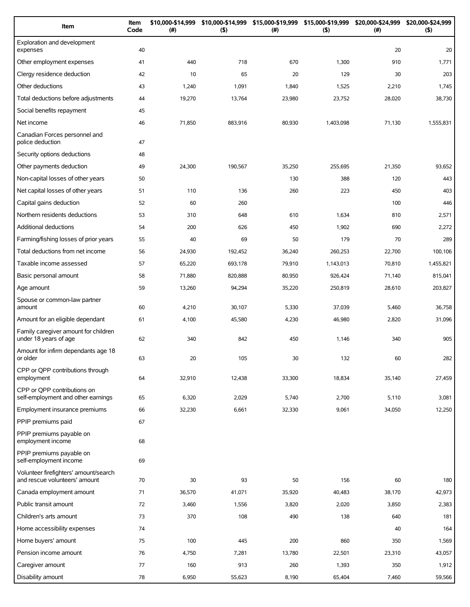| Item                                                                   | Item<br>Code | \$10,000-\$14,999<br>(#) | \$10,000-\$14,999<br>$($ \$) | \$15,000-\$19,999<br>(# ) | \$15,000-\$19,999<br>(5) | \$20,000-\$24,999<br>$(\#)$ | \$20,000-\$24,999<br>(5) |
|------------------------------------------------------------------------|--------------|--------------------------|------------------------------|---------------------------|--------------------------|-----------------------------|--------------------------|
| Exploration and development<br>expenses                                | 40           |                          |                              |                           |                          | 20                          | 20                       |
| Other employment expenses                                              | 41           | 440                      | 718                          | 670                       | 1,300                    | 910                         | 1,771                    |
| Clergy residence deduction                                             | 42           | 10                       | 65                           | 20                        | 129                      | 30                          | 203                      |
| Other deductions                                                       | 43           | 1,240                    | 1,091                        | 1,840                     | 1,525                    | 2,210                       | 1,745                    |
| Total deductions before adjustments                                    | 44           | 19,270                   | 13,764                       | 23,980                    | 23,752                   | 28,020                      | 38,730                   |
| Social benefits repayment                                              | 45           |                          |                              |                           |                          |                             |                          |
| Net income                                                             | 46           | 71,850                   | 883,916                      | 80,930                    | 1,403,098                | 71,130                      | 1,555,831                |
| Canadian Forces personnel and<br>police deduction                      | 47           |                          |                              |                           |                          |                             |                          |
| Security options deductions                                            | 48           |                          |                              |                           |                          |                             |                          |
| Other payments deduction                                               | 49           | 24,300                   | 190,567                      | 35,250                    | 255,695                  | 21,350                      | 93,652                   |
| Non-capital losses of other years                                      | 50           |                          |                              | 130                       | 388                      | 120                         | 443                      |
| Net capital losses of other years                                      | 51           | 110                      | 136                          | 260                       | 223                      | 450                         | 403                      |
| Capital gains deduction                                                | 52           | 60                       | 260                          |                           |                          | 100                         | 446                      |
| Northern residents deductions                                          | 53           | 310                      | 648                          | 610                       | 1,634                    | 810                         | 2,571                    |
| Additional deductions                                                  | 54           | 200                      | 626                          | 450                       | 1,902                    | 690                         | 2,272                    |
| Farming/fishing losses of prior years                                  | 55           | 40                       | 69                           | 50                        | 179                      | 70                          | 289                      |
| Total deductions from net income                                       | 56           | 24,930                   | 192,452                      | 36,240                    | 260,253                  | 22,700                      | 100,106                  |
| Taxable income assessed                                                | 57           | 65,220                   | 693,178                      | 79,910                    | 1,143,013                | 70,810                      | 1,455,821                |
| Basic personal amount                                                  | 58           | 71,880                   | 820,888                      | 80,950                    | 926,424                  | 71,140                      | 815,041                  |
| Age amount                                                             | 59           | 13,260                   | 94,294                       | 35,220                    | 250,819                  | 28,610                      | 203,827                  |
| Spouse or common-law partner<br>amount                                 | 60           | 4,210                    | 30,107                       | 5,330                     | 37,039                   | 5,460                       | 36,758                   |
| Amount for an eligible dependant                                       | 61           | 4,100                    | 45,580                       | 4,230                     | 46,980                   | 2,820                       | 31,096                   |
| Family caregiver amount for children<br>under 18 years of age          | 62           | 340                      | 842                          | 450                       | 1,146                    | 340                         | 905                      |
| Amount for infirm dependants age 18<br>or older                        | 63           | 20                       | 105                          | 30                        | 132                      | 60                          | 282                      |
| CPP or QPP contributions through<br>employment                         | 64           | 32,910                   | 12,438                       | 33,300                    | 18,834                   | 35,140                      | 27,459                   |
| CPP or OPP contributions on<br>self-employment and other earnings      | 65           | 6,320                    | 2,029                        | 5,740                     | 2,700                    | 5,110                       | 3,081                    |
| Employment insurance premiums                                          | 66           | 32,230                   | 6,661                        | 32,330                    | 9,061                    | 34,050                      | 12,250                   |
| PPIP premiums paid                                                     | 67           |                          |                              |                           |                          |                             |                          |
| PPIP premiums payable on<br>employment income                          | 68           |                          |                              |                           |                          |                             |                          |
| PPIP premiums payable on<br>self-employment income                     | 69           |                          |                              |                           |                          |                             |                          |
| Volunteer firefighters' amount/search<br>and rescue volunteers' amount | 70           | 30                       | 93                           | 50                        | 156                      | 60                          | 180                      |
| Canada employment amount                                               | 71           | 36,570                   | 41,071                       | 35,920                    | 40,483                   | 38,170                      | 42,973                   |
| Public transit amount                                                  | 72           | 3,460                    | 1,556                        | 3,820                     | 2,020                    | 3,850                       | 2,383                    |
| Children's arts amount                                                 | 73           | 370                      | 108                          | 490                       | 138                      | 640                         | 181                      |
| Home accessibility expenses                                            | 74           |                          |                              |                           |                          | 40                          | 164                      |
| Home buyers' amount                                                    | 75           | 100                      | 445                          | 200                       | 860                      | 350                         | 1,569                    |
| Pension income amount                                                  | 76           | 4,750                    | 7,281                        | 13,780                    | 22,501                   | 23,310                      | 43,057                   |
| Caregiver amount                                                       | 77           | 160                      | 913                          | 260                       | 1,393                    | 350                         | 1,912                    |
| Disability amount                                                      | 78           | 6,950                    | 55,623                       | 8,190                     | 65,404                   | 7,460                       | 59,566                   |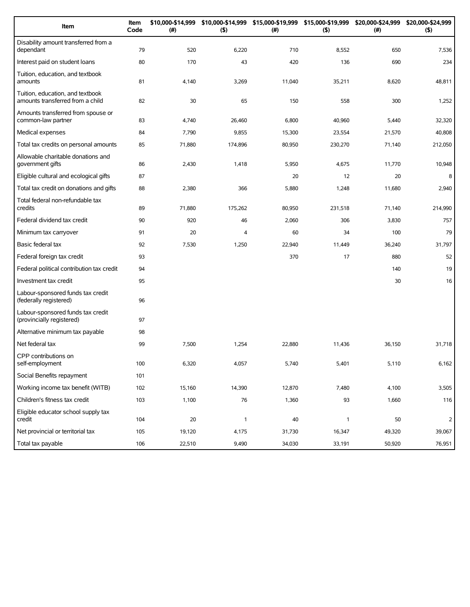| Item                                                                 | Item<br>Code | \$10,000-\$14,999<br>(#) | \$10,000-\$14,999<br>(5) | \$15,000-\$19,999<br>(#) | \$15,000-\$19,999<br>(5) | \$20,000-\$24,999<br>(#) | \$20,000-\$24,999<br>(5) |
|----------------------------------------------------------------------|--------------|--------------------------|--------------------------|--------------------------|--------------------------|--------------------------|--------------------------|
| Disability amount transferred from a<br>dependant                    | 79           | 520                      | 6,220                    | 710                      | 8,552                    | 650                      | 7,536                    |
| Interest paid on student loans                                       | 80           | 170                      | 43                       | 420                      | 136                      | 690                      | 234                      |
| Tuition, education, and textbook<br>amounts                          | 81           | 4,140                    | 3,269                    | 11,040                   | 35,211                   | 8,620                    | 48,811                   |
| Tuition, education, and textbook<br>amounts transferred from a child | 82           | 30                       | 65                       | 150                      | 558                      | 300                      | 1,252                    |
| Amounts transferred from spouse or<br>common-law partner             | 83           | 4,740                    | 26,460                   | 6,800                    | 40,960                   | 5,440                    | 32,320                   |
| Medical expenses                                                     | 84           | 7,790                    | 9,855                    | 15,300                   | 23,554                   | 21,570                   | 40,808                   |
| Total tax credits on personal amounts                                | 85           | 71,880                   | 174,896                  | 80,950                   | 230,270                  | 71,140                   | 212,050                  |
| Allowable charitable donations and<br>government gifts               | 86           | 2,430                    | 1,418                    | 5,950                    | 4,675                    | 11,770                   | 10,948                   |
| Eligible cultural and ecological gifts                               | 87           |                          |                          | 20                       | 12                       | 20                       | 8                        |
| Total tax credit on donations and gifts                              | 88           | 2,380                    | 366                      | 5,880                    | 1,248                    | 11,680                   | 2,940                    |
| Total federal non-refundable tax<br>credits                          | 89           | 71,880                   | 175,262                  | 80,950                   | 231,518                  | 71,140                   | 214,990                  |
| Federal dividend tax credit                                          | 90           | 920                      | 46                       | 2,060                    | 306                      | 3,830                    | 757                      |
| Minimum tax carryover                                                | 91           | 20                       | 4                        | 60                       | 34                       | 100                      | 79                       |
| Basic federal tax                                                    | 92           | 7,530                    | 1,250                    | 22,940                   | 11,449                   | 36,240                   | 31,797                   |
| Federal foreign tax credit                                           | 93           |                          |                          | 370                      | 17                       | 880                      | 52                       |
| Federal political contribution tax credit                            | 94           |                          |                          |                          |                          | 140                      | 19                       |
| Investment tax credit                                                | 95           |                          |                          |                          |                          | 30                       | 16                       |
| Labour-sponsored funds tax credit<br>(federally registered)          | 96           |                          |                          |                          |                          |                          |                          |
| Labour-sponsored funds tax credit<br>(provincially registered)       | 97           |                          |                          |                          |                          |                          |                          |
| Alternative minimum tax payable                                      | 98           |                          |                          |                          |                          |                          |                          |
| Net federal tax                                                      | 99           | 7,500                    | 1,254                    | 22,880                   | 11,436                   | 36,150                   | 31,718                   |
| CPP contributions on<br>self-employment                              | 100          | 6,320                    | 4,057                    | 5,740                    | 5,401                    | 5,110                    | 6,162                    |
| Social Benefits repayment                                            | 101          |                          |                          |                          |                          |                          |                          |
| Working income tax benefit (WITB)                                    | 102          | 15,160                   | 14,390                   | 12,870                   | 7,480                    | 4,100                    | 3,505                    |
| Children's fitness tax credit                                        | 103          | 1,100                    | 76                       | 1,360                    | 93                       | 1,660                    | 116                      |
| Eligible educator school supply tax<br>credit                        | 104          | 20                       | $\mathbf{1}$             | 40                       | $\mathbf{1}$             | 50                       | 2                        |
| Net provincial or territorial tax                                    | 105          | 19,120                   | 4,175                    | 31,730                   | 16,347                   | 49,320                   | 39,067                   |
| Total tax payable                                                    | 106          | 22,510                   | 9,490                    | 34,030                   | 33,191                   | 50,920                   | 76,951                   |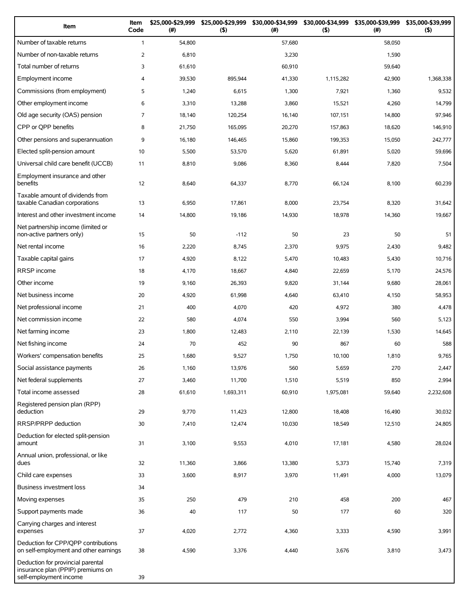| Item                                                                                             | Item<br>Code   | \$25,000-\$29,999<br>(# ) | \$25,000-\$29,999<br>(5) | \$30,000-\$34,999<br>(#) | \$30,000-\$34,999<br>(5) | \$35,000-\$39,999<br>$(\#)$ | \$35,000-\$39,999<br>(5) |
|--------------------------------------------------------------------------------------------------|----------------|---------------------------|--------------------------|--------------------------|--------------------------|-----------------------------|--------------------------|
| Number of taxable returns                                                                        | $\mathbf{1}$   | 54,800                    |                          | 57,680                   |                          | 58,050                      |                          |
| Number of non-taxable returns                                                                    | 2              | 6,810                     |                          | 3,230                    |                          | 1,590                       |                          |
| Total number of returns                                                                          | 3              | 61,610                    |                          | 60,910                   |                          | 59,640                      |                          |
| Employment income                                                                                | $\overline{4}$ | 39,530                    | 895,944                  | 41,330                   | 1,115,282                | 42,900                      | 1,368,338                |
| Commissions (from employment)                                                                    | 5              | 1,240                     | 6,615                    | 1,300                    | 7,921                    | 1,360                       | 9,532                    |
| Other employment income                                                                          | 6              | 3,310                     | 13,288                   | 3,860                    | 15,521                   | 4,260                       | 14,799                   |
| Old age security (OAS) pension                                                                   | $\overline{7}$ | 18,140                    | 120,254                  | 16,140                   | 107,151                  | 14,800                      | 97,946                   |
| CPP or QPP benefits                                                                              | 8              | 21,750                    | 165,095                  | 20,270                   | 157,863                  | 18,620                      | 146,910                  |
| Other pensions and superannuation                                                                | 9              | 16,180                    | 146,465                  | 15,860                   | 199,353                  | 15,050                      | 242,777                  |
| Elected split-pension amount                                                                     | 10             | 5,500                     | 53,570                   | 5,620                    | 61,891                   | 5,020                       | 59,696                   |
| Universal child care benefit (UCCB)                                                              | 11             | 8,810                     | 9,086                    | 8,360                    | 8,444                    | 7,820                       | 7,504                    |
| Employment insurance and other<br>benefits                                                       | 12             | 8,640                     | 64,337                   | 8,770                    | 66,124                   | 8,100                       | 60,239                   |
| Taxable amount of dividends from<br>taxable Canadian corporations                                | 13             | 6,950                     | 17,861                   | 8,000                    | 23,754                   | 8,320                       | 31,642                   |
| Interest and other investment income                                                             | 14             | 14,800                    | 19,186                   | 14,930                   | 18,978                   | 14,360                      | 19,667                   |
| Net partnership income (limited or<br>non-active partners only)                                  | 15             | 50                        | $-112$                   | 50                       | 23                       | 50                          | 51                       |
| Net rental income                                                                                | 16             | 2,220                     | 8,745                    | 2,370                    | 9,975                    | 2,430                       | 9,482                    |
| Taxable capital gains                                                                            | 17             | 4,920                     | 8,122                    | 5,470                    | 10,483                   | 5,430                       | 10,716                   |
| RRSP income                                                                                      | 18             | 4,170                     | 18,667                   | 4,840                    | 22,659                   | 5,170                       | 24,576                   |
| Other income                                                                                     | 19             | 9,160                     | 26,393                   | 9,820                    | 31,144                   | 9,680                       | 28,061                   |
| Net business income                                                                              | 20             | 4,920                     | 61,998                   | 4,640                    | 63,410                   | 4,150                       | 58,953                   |
| Net professional income                                                                          | 21             | 400                       | 4,070                    | 420                      | 4,972                    | 380                         | 4,478                    |
| Net commission income                                                                            | 22             | 580                       | 4,074                    | 550                      | 3,994                    | 560                         | 5,123                    |
| Net farming income                                                                               | 23             | 1,800                     | 12,483                   | 2,110                    | 22,139                   | 1,530                       | 14,645                   |
| Net fishing income                                                                               | 24             | 70                        | 452                      | 90                       | 867                      | 60                          | 588                      |
| Workers' compensation benefits                                                                   | 25             | 1,680                     | 9,527                    | 1,750                    | 10,100                   | 1,810                       | 9,765                    |
| Social assistance payments                                                                       | 26             | 1,160                     | 13,976                   | 560                      | 5,659                    | 270                         | 2,447                    |
| Net federal supplements                                                                          | 27             | 3,460                     | 11,700                   | 1,510                    | 5,519                    | 850                         | 2,994                    |
| Total income assessed                                                                            | 28             | 61,610                    | 1,693,311                | 60,910                   | 1,975,081                | 59,640                      | 2,232,608                |
| Registered pension plan (RPP)<br>deduction                                                       | 29             | 9,770                     | 11,423                   | 12,800                   | 18,408                   | 16,490                      | 30,032                   |
| RRSP/PRPP deduction                                                                              | 30             | 7,410                     | 12,474                   | 10,030                   | 18,549                   | 12,510                      | 24,805                   |
| Deduction for elected split-pension<br>amount                                                    | 31             | 3,100                     | 9,553                    | 4,010                    | 17,181                   | 4,580                       | 28,024                   |
| Annual union, professional, or like<br>dues                                                      | 32             | 11,360                    | 3,866                    | 13,380                   | 5,373                    | 15,740                      | 7,319                    |
| Child care expenses                                                                              | 33             | 3,600                     | 8,917                    | 3,970                    | 11,491                   | 4,000                       | 13,079                   |
| <b>Business investment loss</b>                                                                  | 34             |                           |                          |                          |                          |                             |                          |
| Moving expenses                                                                                  | 35             | 250                       | 479                      | 210                      | 458                      | 200                         | 467                      |
| Support payments made                                                                            | 36             | 40                        | 117                      | 50                       | 177                      | 60                          | 320                      |
| Carrying charges and interest<br>expenses                                                        | 37             | 4,020                     | 2,772                    | 4,360                    | 3,333                    | 4,590                       | 3,991                    |
| Deduction for CPP/QPP contributions<br>on self-employment and other earnings                     | 38             | 4,590                     | 3,376                    | 4,440                    | 3,676                    | 3,810                       | 3,473                    |
| Deduction for provincial parental<br>insurance plan (PPIP) premiums on<br>self-employment income | 39             |                           |                          |                          |                          |                             |                          |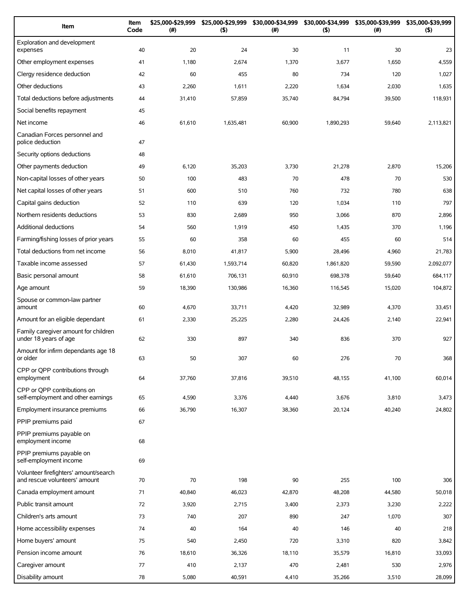| Item                                                                   | Item<br>Code | \$25,000-\$29,999<br>(#) | \$25,000-\$29,999<br>(5) | \$30,000-\$34,999<br>(#) | \$30,000-\$34,999<br>(5) | \$35,000-\$39,999<br>$(\#)$ | \$35,000-\$39,999<br>(5) |
|------------------------------------------------------------------------|--------------|--------------------------|--------------------------|--------------------------|--------------------------|-----------------------------|--------------------------|
| Exploration and development<br>expenses                                | 40           | 20                       | 24                       | 30                       | 11                       | 30                          | 23                       |
| Other employment expenses                                              | 41           | 1,180                    | 2,674                    | 1,370                    | 3,677                    | 1,650                       | 4,559                    |
| Clergy residence deduction                                             | 42           | 60                       | 455                      | 80                       | 734                      | 120                         | 1,027                    |
| Other deductions                                                       | 43           | 2,260                    | 1,611                    | 2,220                    | 1,634                    | 2,030                       | 1,635                    |
| Total deductions before adjustments                                    | 44           | 31,410                   | 57,859                   | 35,740                   | 84,794                   | 39,500                      | 118,931                  |
| Social benefits repayment                                              | 45           |                          |                          |                          |                          |                             |                          |
| Net income                                                             | 46           | 61,610                   | 1,635,481                | 60,900                   | 1,890,293                | 59,640                      | 2,113,821                |
| Canadian Forces personnel and<br>police deduction                      | 47           |                          |                          |                          |                          |                             |                          |
| Security options deductions                                            | 48           |                          |                          |                          |                          |                             |                          |
| Other payments deduction                                               | 49           | 6,120                    | 35,203                   | 3,730                    | 21,278                   | 2,870                       | 15,206                   |
| Non-capital losses of other years                                      | 50           | 100                      | 483                      | 70                       | 478                      | 70                          | 530                      |
| Net capital losses of other years                                      | 51           | 600                      | 510                      | 760                      | 732                      | 780                         | 638                      |
| Capital gains deduction                                                | 52           | 110                      | 639                      | 120                      | 1,034                    | 110                         | 797                      |
| Northern residents deductions                                          | 53           | 830                      | 2,689                    | 950                      | 3,066                    | 870                         | 2,896                    |
| <b>Additional deductions</b>                                           | 54           | 560                      | 1,919                    | 450                      | 1,435                    | 370                         | 1,196                    |
| Farming/fishing losses of prior years                                  | 55           | 60                       | 358                      | 60                       | 455                      | 60                          | 514                      |
| Total deductions from net income                                       | 56           | 8,010                    | 41,817                   | 5,900                    | 28,496                   | 4,960                       | 21,783                   |
| Taxable income assessed                                                | 57           | 61,430                   | 1,593,714                | 60,820                   | 1,861,820                | 59,590                      | 2,092,077                |
| Basic personal amount                                                  | 58           | 61,610                   | 706,131                  | 60,910                   | 698,378                  | 59,640                      | 684,117                  |
| Age amount                                                             | 59           | 18,390                   | 130,986                  | 16,360                   | 116,545                  | 15,020                      | 104,872                  |
| Spouse or common-law partner<br>amount                                 | 60           | 4,670                    | 33,711                   | 4,420                    | 32,989                   | 4,370                       | 33,451                   |
| Amount for an eligible dependant                                       | 61           | 2,330                    | 25,225                   | 2,280                    | 24,426                   | 2,140                       | 22,941                   |
| Family caregiver amount for children<br>under 18 years of age          | 62           | 330                      | 897                      | 340                      | 836                      | 370                         | 927                      |
| Amount for infirm dependants age 18<br>or older                        | 63           | 50                       | 307                      | 60                       | 276                      | 70                          | 368                      |
| CPP or QPP contributions through<br>employment                         | 64           | 37,760                   | 37,816                   | 39,510                   | 48,155                   | 41,100                      | 60,014                   |
| CPP or OPP contributions on<br>self-employment and other earnings      | 65           | 4,590                    | 3,376                    | 4,440                    | 3,676                    | 3,810                       | 3,473                    |
| Employment insurance premiums                                          | 66           | 36,790                   | 16,307                   | 38,360                   | 20,124                   | 40,240                      | 24,802                   |
| PPIP premiums paid                                                     | 67           |                          |                          |                          |                          |                             |                          |
| PPIP premiums payable on<br>employment income                          | 68           |                          |                          |                          |                          |                             |                          |
| PPIP premiums payable on<br>self-employment income                     | 69           |                          |                          |                          |                          |                             |                          |
| Volunteer firefighters' amount/search<br>and rescue volunteers' amount | 70           | 70                       | 198                      | 90                       | 255                      | 100                         | 306                      |
| Canada employment amount                                               | 71           | 40,840                   | 46,023                   | 42,870                   | 48,208                   | 44,580                      | 50,018                   |
| Public transit amount                                                  | 72           | 3,920                    | 2,715                    | 3,400                    | 2,373                    | 3,230                       | 2,222                    |
| Children's arts amount                                                 | 73           | 740                      | 207                      | 890                      | 247                      | 1,070                       | 307                      |
| Home accessibility expenses                                            | 74           | 40                       | 164                      | 40                       | 146                      | 40                          | 218                      |
| Home buyers' amount                                                    | 75           | 540                      | 2,450                    | 720                      | 3,310                    | 820                         | 3,842                    |
| Pension income amount                                                  | 76           | 18,610                   | 36,326                   | 18,110                   | 35,579                   | 16,810                      | 33,093                   |
| Caregiver amount                                                       | 77           | 410                      | 2,137                    | 470                      | 2,481                    | 530                         | 2,976                    |
| Disability amount                                                      | 78           | 5,080                    | 40,591                   | 4,410                    | 35,266                   | 3,510                       | 28,099                   |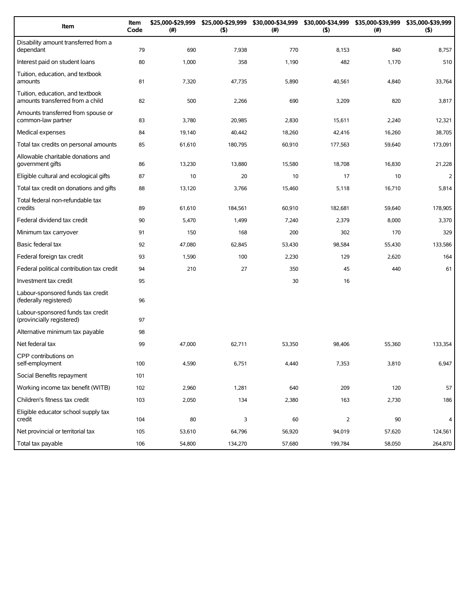| Item                                                                 | Item<br>Code | \$25,000-\$29,999<br>(#) | \$25,000-\$29,999<br>(5) | \$30,000-\$34,999<br>(#) | \$30,000-\$34,999<br>(5) | \$35,000-\$39,999<br>(#) | \$35,000-\$39,999<br>(5) |
|----------------------------------------------------------------------|--------------|--------------------------|--------------------------|--------------------------|--------------------------|--------------------------|--------------------------|
| Disability amount transferred from a<br>dependant                    | 79           | 690                      | 7,938                    | 770                      | 8,153                    | 840                      | 8,757                    |
| Interest paid on student loans                                       | 80           | 1,000                    | 358                      | 1,190                    | 482                      | 1,170                    | 510                      |
| Tuition, education, and textbook<br>amounts                          | 81           | 7,320                    | 47,735                   | 5,890                    | 40,561                   | 4,840                    | 33,764                   |
| Tuition, education, and textbook<br>amounts transferred from a child | 82           | 500                      | 2,266                    | 690                      | 3,209                    | 820                      | 3,817                    |
| Amounts transferred from spouse or<br>common-law partner             | 83           | 3,780                    | 20,985                   | 2,830                    | 15,611                   | 2,240                    | 12,321                   |
| Medical expenses                                                     | 84           | 19,140                   | 40,442                   | 18,260                   | 42,416                   | 16,260                   | 38,705                   |
| Total tax credits on personal amounts                                | 85           | 61,610                   | 180,795                  | 60,910                   | 177,563                  | 59,640                   | 173,091                  |
| Allowable charitable donations and<br>government gifts               | 86           | 13,230                   | 13,880                   | 15,580                   | 18,708                   | 16,830                   | 21,228                   |
| Eligible cultural and ecological gifts                               | 87           | 10                       | 20                       | 10                       | 17                       | 10                       | $\overline{2}$           |
| Total tax credit on donations and gifts                              | 88           | 13,120                   | 3,766                    | 15,460                   | 5,118                    | 16,710                   | 5,814                    |
| Total federal non-refundable tax<br>credits                          | 89           | 61,610                   | 184,561                  | 60,910                   | 182,681                  | 59,640                   | 178,905                  |
| Federal dividend tax credit                                          | 90           | 5,470                    | 1,499                    | 7,240                    | 2,379                    | 8,000                    | 3,370                    |
| Minimum tax carryover                                                | 91           | 150                      | 168                      | 200                      | 302                      | 170                      | 329                      |
| Basic federal tax                                                    | 92           | 47,080                   | 62,845                   | 53,430                   | 98,584                   | 55,430                   | 133,586                  |
| Federal foreign tax credit                                           | 93           | 1,590                    | 100                      | 2,230                    | 129                      | 2,620                    | 164                      |
| Federal political contribution tax credit                            | 94           | 210                      | 27                       | 350                      | 45                       | 440                      | 61                       |
| Investment tax credit                                                | 95           |                          |                          | 30                       | 16                       |                          |                          |
| Labour-sponsored funds tax credit<br>(federally registered)          | 96           |                          |                          |                          |                          |                          |                          |
| Labour-sponsored funds tax credit<br>(provincially registered)       | 97           |                          |                          |                          |                          |                          |                          |
| Alternative minimum tax payable                                      | 98           |                          |                          |                          |                          |                          |                          |
| Net federal tax                                                      | 99           | 47,000                   | 62,711                   | 53,350                   | 98,406                   | 55,360                   | 133,354                  |
| CPP contributions on<br>self-employment                              | 100          | 4,590                    | 6,751                    | 4,440                    | 7,353                    | 3,810                    | 6,947                    |
| Social Benefits repayment                                            | 101          |                          |                          |                          |                          |                          |                          |
| Working income tax benefit (WITB)                                    | 102          | 2,960                    | 1,281                    | 640                      | 209                      | 120                      | 57                       |
| Children's fitness tax credit                                        | 103          | 2,050                    | 134                      | 2,380                    | 163                      | 2,730                    | 186                      |
| Eligible educator school supply tax<br>credit                        | 104          | 80                       | 3                        | 60                       | $\overline{2}$           | 90                       | 4                        |
| Net provincial or territorial tax                                    | 105          | 53,610                   | 64,796                   | 56,920                   | 94,019                   | 57,620                   | 124,561                  |
| Total tax payable                                                    | 106          | 54,800                   | 134,270                  | 57,680                   | 199,784                  | 58,050                   | 264,870                  |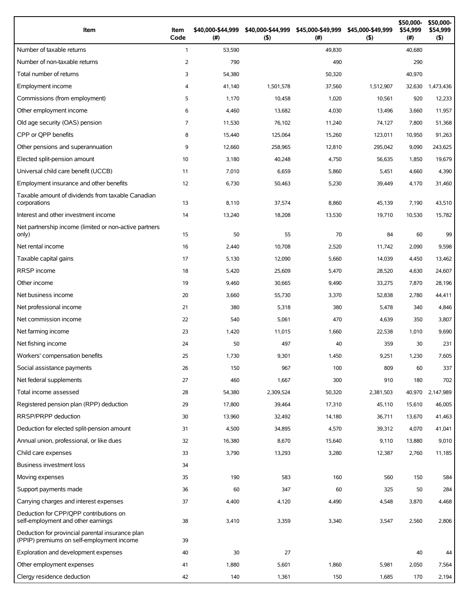| Item                                                                                          | Item<br>Code   | \$40,000-\$44,999<br>$($ #) | \$40,000-\$44,999<br>(5) | \$45,000-\$49,999<br>(# ) | \$45,000-\$49,999<br>(5) | \$50,000-<br>\$54,999<br>(# ) | \$50,000-<br>\$54,999<br>(5) |
|-----------------------------------------------------------------------------------------------|----------------|-----------------------------|--------------------------|---------------------------|--------------------------|-------------------------------|------------------------------|
| Number of taxable returns                                                                     | $\mathbf{1}$   | 53,590                      |                          | 49,830                    |                          | 40,680                        |                              |
| Number of non-taxable returns                                                                 | 2              | 790                         |                          | 490                       |                          | 290                           |                              |
| Total number of returns                                                                       | 3              | 54,380                      |                          | 50,320                    |                          | 40,970                        |                              |
| Employment income                                                                             | $\overline{4}$ | 41,140                      | 1,501,578                | 37,560                    | 1,512,907                | 32,630                        | 1,473,436                    |
| Commissions (from employment)                                                                 | 5              | 1,170                       | 10,458                   | 1,020                     | 10,561                   | 920                           | 12,233                       |
| Other employment income                                                                       | 6              | 4,460                       | 13,682                   | 4,030                     | 13,496                   | 3,660                         | 11,957                       |
| Old age security (OAS) pension                                                                | $\overline{7}$ | 11,530                      | 76,102                   | 11,240                    | 74,127                   | 7,800                         | 51,368                       |
| CPP or OPP benefits                                                                           | 8              | 15,440                      | 125,064                  | 15,260                    | 123,011                  | 10,950                        | 91,263                       |
| Other pensions and superannuation                                                             | 9              | 12,660                      | 258,965                  | 12,810                    | 295,042                  | 9,090                         | 243,625                      |
| Elected split-pension amount                                                                  | 10             | 3,180                       | 40,248                   | 4,750                     | 56,635                   | 1,850                         | 19,679                       |
| Universal child care benefit (UCCB)                                                           | 11             | 7,010                       | 6,659                    | 5,860                     | 5,451                    | 4,660                         | 4,390                        |
| Employment insurance and other benefits                                                       | 12             | 6,730                       | 50,463                   | 5,230                     | 39,449                   | 4,170                         | 31,460                       |
| Taxable amount of dividends from taxable Canadian<br>corporations                             | 13             | 8,110                       | 37,574                   | 8,860                     | 45,139                   | 7,190                         | 43,510                       |
| Interest and other investment income                                                          | 14             | 13,240                      | 18,208                   | 13,530                    | 19,710                   | 10,530                        | 15,782                       |
| Net partnership income (limited or non-active partners<br>only)                               | 15             | 50                          | 55                       | 70                        | 84                       | 60                            | 99                           |
| Net rental income                                                                             | 16             | 2,440                       | 10,708                   | 2,520                     | 11,742                   | 2,090                         | 9,598                        |
| Taxable capital gains                                                                         | 17             | 5,130                       | 12,090                   | 5,660                     | 14,039                   | 4,450                         | 13,462                       |
| <b>RRSP</b> income                                                                            | 18             | 5,420                       | 25,609                   | 5,470                     | 28,520                   | 4,630                         | 24,607                       |
| Other income                                                                                  | 19             | 9,460                       | 30,665                   | 9,490                     | 33,275                   | 7,870                         | 28,196                       |
| Net business income                                                                           | 20             | 3,660                       | 55,730                   | 3,370                     | 52,838                   | 2,780                         | 44,411                       |
| Net professional income                                                                       | 21             | 380                         | 5,318                    | 380                       | 5,478                    | 340                           | 4,846                        |
| Net commission income                                                                         | 22             | 540                         | 5,061                    | 470                       | 4,639                    | 350                           | 3,807                        |
| Net farming income                                                                            | 23             | 1,420                       | 11,015                   | 1,660                     | 22,538                   | 1,010                         | 9,690                        |
| Net fishing income                                                                            | 24             | 50                          | 497                      | 40                        | 359                      | 30                            | 231                          |
| Workers' compensation benefits                                                                | 25             | 1,730                       | 9,301                    | 1,450                     | 9,251                    | 1,230                         | 7,605                        |
| Social assistance payments                                                                    | 26             | 150                         | 967                      | 100                       | 809                      | 60                            | 337                          |
| Net federal supplements                                                                       | 27             | 460                         | 1,667                    | 300                       | 910                      | 180                           | 702                          |
| Total income assessed                                                                         | 28             | 54,380                      | 2,309,524                | 50,320                    | 2,381,503                | 40,970                        | 2,147,989                    |
| Registered pension plan (RPP) deduction                                                       | 29             | 17,800                      | 39,464                   | 17,310                    | 45,110                   | 15,610                        | 46,005                       |
| RRSP/PRPP deduction                                                                           | 30             | 13,960                      | 32,492                   | 14,180                    | 36,711                   | 13,670                        | 41,463                       |
| Deduction for elected split-pension amount                                                    | 31             | 4,500                       | 34,895                   | 4,570                     | 39,312                   | 4,070                         | 41,041                       |
| Annual union, professional, or like dues                                                      | 32             | 16,380                      | 8,670                    | 15,640                    | 9,110                    | 13,880                        | 9,010                        |
| Child care expenses                                                                           | 33             | 3,790                       | 13,293                   | 3,280                     | 12,387                   | 2,760                         | 11,185                       |
| <b>Business investment loss</b>                                                               | 34             |                             |                          |                           |                          |                               |                              |
| Moving expenses                                                                               | 35             | 190                         | 583                      | 160                       | 560                      | 150                           | 584                          |
| Support payments made                                                                         | 36             | 60                          | 347                      | 60                        | 325                      | 50                            | 284                          |
| Carrying charges and interest expenses                                                        | 37             | 4,400                       | 4,120                    | 4,490                     | 4,548                    | 3,870                         | 4,468                        |
| Deduction for CPP/QPP contributions on<br>self-employment and other earnings                  | 38             | 3,410                       | 3,359                    | 3,340                     | 3,547                    | 2,560                         | 2,806                        |
| Deduction for provincial parental insurance plan<br>(PPIP) premiums on self-employment income | 39             |                             |                          |                           |                          |                               |                              |
| Exploration and development expenses                                                          | 40             | 30                          | 27                       |                           |                          | 40                            | 44                           |
| Other employment expenses                                                                     | 41             | 1,880                       | 5,601                    | 1,860                     | 5,981                    | 2,050                         | 7,564                        |
| Clergy residence deduction                                                                    | 42             | 140                         | 1,361                    | 150                       | 1,685                    | 170                           | 2,194                        |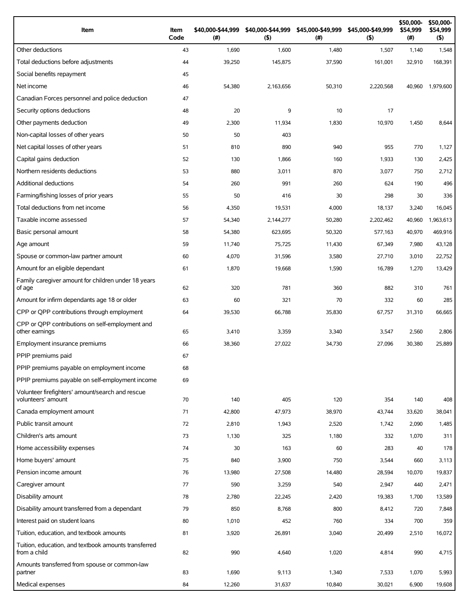| Item                                                                 | Item<br>Code | \$40,000-\$44,999<br>(#) | \$40,000-\$44,999<br>(5) | \$45,000-\$49,999<br>(#) | \$45,000-\$49,999<br>(5) | \$50,000-<br>\$54,999<br>$(\#)$ | \$50,000-<br>\$54,999<br>$($ \$) |
|----------------------------------------------------------------------|--------------|--------------------------|--------------------------|--------------------------|--------------------------|---------------------------------|----------------------------------|
| Other deductions                                                     | 43           | 1,690                    | 1,600                    | 1,480                    | 1,507                    | 1,140                           | 1,548                            |
| Total deductions before adjustments                                  | 44           | 39,250                   | 145,875                  | 37,590                   | 161.001                  | 32,910                          | 168,391                          |
| Social benefits repayment                                            | 45           |                          |                          |                          |                          |                                 |                                  |
| Net income                                                           | 46           | 54,380                   | 2,163,656                | 50,310                   | 2,220,568                | 40,960                          | 1,979,600                        |
| Canadian Forces personnel and police deduction                       | 47           |                          |                          |                          |                          |                                 |                                  |
| Security options deductions                                          | 48           | 20                       | 9                        | 10                       | 17                       |                                 |                                  |
| Other payments deduction                                             | 49           | 2,300                    | 11,934                   | 1,830                    | 10,970                   | 1,450                           | 8,644                            |
| Non-capital losses of other years                                    | 50           | 50                       | 403                      |                          |                          |                                 |                                  |
| Net capital losses of other years                                    | 51           | 810                      | 890                      | 940                      | 955                      | 770                             | 1,127                            |
| Capital gains deduction                                              | 52           | 130                      | 1,866                    | 160                      | 1,933                    | 130                             | 2,425                            |
| Northern residents deductions                                        | 53           | 880                      | 3,011                    | 870                      | 3,077                    | 750                             | 2,712                            |
| Additional deductions                                                | 54           | 260                      | 991                      | 260                      | 624                      | 190                             | 496                              |
| Farming/fishing losses of prior years                                | 55           | 50                       | 416                      | 30                       | 298                      | 30                              | 336                              |
| Total deductions from net income                                     | 56           | 4,350                    | 19,531                   | 4,000                    | 18,137                   | 3,240                           | 16,045                           |
| Taxable income assessed                                              | 57           | 54,340                   | 2,144,277                | 50,280                   | 2,202,462                | 40,960                          | 1,963,613                        |
| Basic personal amount                                                | 58           | 54,380                   | 623,695                  | 50,320                   | 577,163                  | 40,970                          | 469,916                          |
| Age amount                                                           | 59           | 11,740                   | 75,725                   | 11,430                   | 67,349                   | 7,980                           | 43,128                           |
| Spouse or common-law partner amount                                  | 60           | 4,070                    | 31,596                   | 3,580                    | 27,710                   | 3,010                           | 22,752                           |
| Amount for an eligible dependant                                     | 61           | 1,870                    | 19,668                   | 1,590                    | 16,789                   | 1,270                           | 13,429                           |
| Family caregiver amount for children under 18 years<br>of age        | 62           | 320                      | 781                      | 360                      | 882                      | 310                             | 761                              |
| Amount for infirm dependants age 18 or older                         | 63           | 60                       | 321                      | 70                       | 332                      | 60                              | 285                              |
| CPP or QPP contributions through employment                          | 64           | 39,530                   | 66,788                   | 35,830                   | 67,757                   | 31,310                          | 66,665                           |
| CPP or OPP contributions on self-employment and<br>other earnings    | 65           | 3,410                    | 3,359                    | 3,340                    | 3,547                    | 2,560                           | 2,806                            |
| Employment insurance premiums                                        | 66           | 38,360                   | 27,022                   | 34,730                   | 27,096                   | 30,380                          | 25,889                           |
| PPIP premiums paid                                                   | 67           |                          |                          |                          |                          |                                 |                                  |
| PPIP premiums payable on employment income                           | 68           |                          |                          |                          |                          |                                 |                                  |
| PPIP premiums payable on self-employment income                      | 69           |                          |                          |                          |                          |                                 |                                  |
| Volunteer firefighters' amount/search and rescue                     |              |                          |                          |                          |                          |                                 |                                  |
| volunteers' amount                                                   | 70           | 140                      | 405                      | 120                      | 354                      | 140                             | 408                              |
| Canada employment amount                                             | 71           | 42,800                   | 47,973                   | 38,970                   | 43,744                   | 33,620                          | 38,041                           |
| Public transit amount                                                | 72           | 2,810                    | 1,943                    | 2,520                    | 1,742                    | 2,090                           | 1,485                            |
| Children's arts amount                                               | 73           | 1,130                    | 325                      | 1,180                    | 332                      | 1,070                           | 311                              |
| Home accessibility expenses                                          | 74           | 30                       | 163                      | 60                       | 283                      | 40                              | 178                              |
| Home buyers' amount                                                  | 75           | 840                      | 3,900                    | 750                      | 3,544                    | 660                             | 3,113                            |
| Pension income amount                                                | 76           | 13,980                   | 27,508                   | 14,480                   | 28,594                   | 10,070                          | 19,837                           |
| Caregiver amount                                                     | 77           | 590                      | 3,259                    | 540                      | 2,947                    | 440                             | 2,471                            |
| Disability amount                                                    | 78           | 2,780                    | 22,245                   | 2,420                    | 19,383                   | 1,700                           | 13,589                           |
| Disability amount transferred from a dependant                       | 79           | 850                      | 8,768                    | 800                      | 8,412                    | 720                             | 7,848                            |
| Interest paid on student loans                                       | 80           | 1,010                    | 452                      | 760                      | 334                      | 700                             | 359                              |
| Tuition, education, and textbook amounts                             | 81           | 3,920                    | 26,891                   | 3,040                    | 20,499                   | 2,510                           | 16,072                           |
| Tuition, education, and textbook amounts transferred<br>from a child | 82           | 990                      | 4,640                    | 1,020                    | 4,814                    | 990                             | 4,715                            |
| Amounts transferred from spouse or common-law<br>partner             | 83           | 1,690                    | 9,113                    | 1,340                    | 7,533                    | 1,070                           | 5,993                            |
| Medical expenses                                                     | 84           | 12,260                   | 31,637                   | 10,840                   | 30,021                   | 6,900                           | 19,608                           |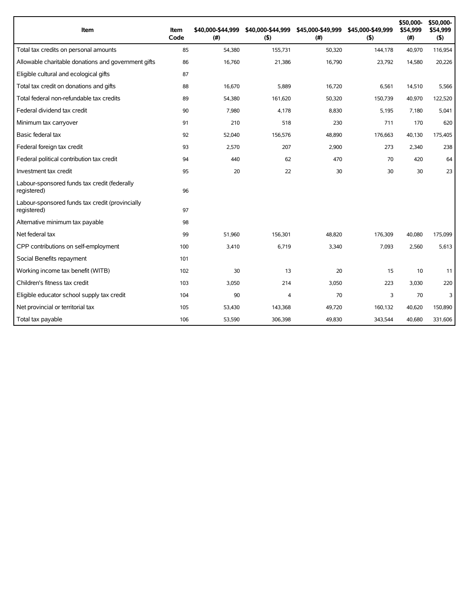| Item                                                           | Item<br>Code | \$40,000-\$44,999<br>(#) | \$40,000-\$44,999<br>(5) | \$45,000-\$49,999<br>(# ) | \$45,000-\$49,999<br>(5) | \$50,000-<br>\$54,999<br>(#) | \$50,000-<br>\$54,999<br>(5) |
|----------------------------------------------------------------|--------------|--------------------------|--------------------------|---------------------------|--------------------------|------------------------------|------------------------------|
| Total tax credits on personal amounts                          | 85           | 54,380                   | 155,731                  | 50,320                    | 144,178                  | 40,970                       | 116,954                      |
| Allowable charitable donations and government gifts            | 86           | 16,760                   | 21,386                   | 16,790                    | 23,792                   | 14,580                       | 20,226                       |
| Eligible cultural and ecological gifts                         | 87           |                          |                          |                           |                          |                              |                              |
| Total tax credit on donations and gifts                        | 88           | 16,670                   | 5,889                    | 16,720                    | 6,561                    | 14,510                       | 5,566                        |
| Total federal non-refundable tax credits                       | 89           | 54,380                   | 161,620                  | 50,320                    | 150,739                  | 40,970                       | 122,520                      |
| Federal dividend tax credit                                    | 90           | 7,980                    | 4,178                    | 8,830                     | 5,195                    | 7,180                        | 5,041                        |
| Minimum tax carryover                                          | 91           | 210                      | 518                      | 230                       | 711                      | 170                          | 620                          |
| Basic federal tax                                              | 92           | 52,040                   | 156,576                  | 48,890                    | 176,663                  | 40,130                       | 175,405                      |
| Federal foreign tax credit                                     | 93           | 2,570                    | 207                      | 2,900                     | 273                      | 2,340                        | 238                          |
| Federal political contribution tax credit                      | 94           | 440                      | 62                       | 470                       | 70                       | 420                          | 64                           |
| Investment tax credit                                          | 95           | 20                       | 22                       | 30                        | 30                       | 30                           | 23                           |
| Labour-sponsored funds tax credit (federally<br>registered)    | 96           |                          |                          |                           |                          |                              |                              |
| Labour-sponsored funds tax credit (provincially<br>registered) | 97           |                          |                          |                           |                          |                              |                              |
| Alternative minimum tax payable                                | 98           |                          |                          |                           |                          |                              |                              |
| Net federal tax                                                | 99           | 51,960                   | 156,301                  | 48.820                    | 176,309                  | 40,080                       | 175,099                      |
| CPP contributions on self-employment                           | 100          | 3,410                    | 6,719                    | 3,340                     | 7,093                    | 2,560                        | 5,613                        |
| Social Benefits repayment                                      | 101          |                          |                          |                           |                          |                              |                              |
| Working income tax benefit (WITB)                              | 102          | 30                       | 13                       | 20                        | 15                       | 10                           | 11                           |
| Children's fitness tax credit                                  | 103          | 3,050                    | 214                      | 3,050                     | 223                      | 3,030                        | 220                          |
| Eligible educator school supply tax credit                     | 104          | 90                       | $\overline{4}$           | 70                        | 3                        | 70                           | 3                            |
| Net provincial or territorial tax                              | 105          | 53,430                   | 143,368                  | 49,720                    | 160,132                  | 40,620                       | 150,890                      |
| Total tax payable                                              | 106          | 53,590                   | 306,398                  | 49,830                    | 343,544                  | 40,680                       | 331,606                      |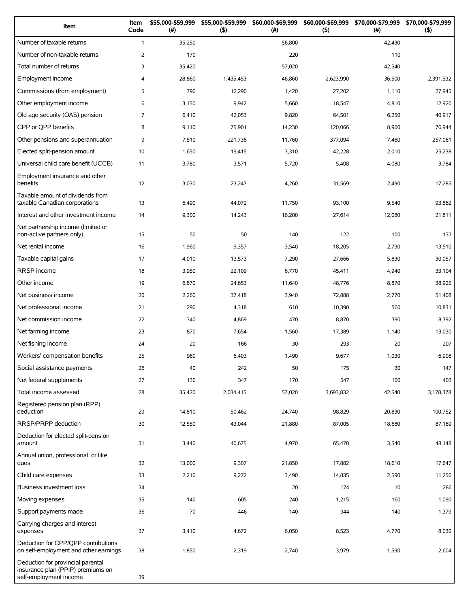| Item                                                                                             | Item<br>Code   | \$55,000-\$59,999<br>(#) | \$55,000-\$59,999<br>(5) | \$60,000-\$69,999<br>(# ) | \$60,000-\$69,999<br>(5) | \$70,000-\$79,999<br>(#) | \$70,000-\$79,999<br>(5) |
|--------------------------------------------------------------------------------------------------|----------------|--------------------------|--------------------------|---------------------------|--------------------------|--------------------------|--------------------------|
| Number of taxable returns                                                                        | $\mathbf{1}$   | 35,250                   |                          | 56,800                    |                          | 42,430                   |                          |
| Number of non-taxable returns                                                                    | $\overline{2}$ | 170                      |                          | 220                       |                          | 110                      |                          |
| Total number of returns                                                                          | 3              | 35,420                   |                          | 57,020                    |                          | 42,540                   |                          |
| Employment income                                                                                | 4              | 28,860                   | 1,435,453                | 46,860                    | 2,623,990                | 36,500                   | 2,391,532                |
| Commissions (from employment)                                                                    | 5              | 790                      | 12,290                   | 1,420                     | 27,202                   | 1,110                    | 27,945                   |
| Other employment income                                                                          | 6              | 3,150                    | 9,942                    | 5,660                     | 18,547                   | 4,810                    | 12,920                   |
| Old age security (OAS) pension                                                                   | $\overline{7}$ | 6,410                    | 42,053                   | 9,820                     | 64,501                   | 6,250                    | 40,917                   |
| CPP or QPP benefits                                                                              | 8              | 9,110                    | 75,901                   | 14,230                    | 120,066                  | 8,960                    | 76,944                   |
| Other pensions and superannuation                                                                | 9              | 7,510                    | 221,736                  | 11,760                    | 377,094                  | 7,460                    | 257,061                  |
| Elected split-pension amount                                                                     | 10             | 1,650                    | 19,415                   | 3,310                     | 42,228                   | 2,010                    | 25,238                   |
| Universal child care benefit (UCCB)                                                              | 11             | 3,780                    | 3,571                    | 5,720                     | 5,408                    | 4,080                    | 3,784                    |
| Employment insurance and other<br>benefits                                                       | 12             | 3,030                    | 23,247                   | 4,260                     | 31,569                   | 2,490                    | 17,285                   |
| Taxable amount of dividends from<br>taxable Canadian corporations                                | 13             | 6,490                    | 44,072                   | 11,750                    | 93,100                   | 9,540                    | 93,862                   |
| Interest and other investment income                                                             | 14             | 9,300                    | 14,243                   | 16,200                    | 27,614                   | 12,080                   | 21,811                   |
| Net partnership income (limited or<br>non-active partners only)                                  | 15             | 50                       | 50                       | 140                       | $-122$                   | 100                      | 133                      |
| Net rental income                                                                                | 16             | 1,960                    | 9,357                    | 3,540                     | 18,205                   | 2,790                    | 13,510                   |
| Taxable capital gains                                                                            | 17             | 4,010                    | 13,573                   | 7,290                     | 27,666                   | 5,830                    | 30,057                   |
| <b>RRSP</b> income                                                                               | 18             | 3,950                    | 22,109                   | 6,770                     | 45,411                   | 4,940                    | 33,104                   |
| Other income                                                                                     | 19             | 6,870                    | 24,653                   | 11,640                    | 48,776                   | 8,870                    | 38,925                   |
| Net business income                                                                              | 20             | 2,260                    | 37,418                   | 3,940                     | 72,888                   | 2,770                    | 51,408                   |
| Net professional income                                                                          | 21             | 290                      | 4,318                    | 610                       | 10,390                   | 560                      | 10,831                   |
| Net commission income                                                                            | 22             | 340                      | 4,869                    | 470                       | 8,870                    | 390                      | 8,392                    |
| Net farming income                                                                               | 23             | 870                      | 7,654                    | 1,560                     | 17,389                   | 1,140                    | 13,030                   |
| Net fishing income                                                                               | 24             | 20                       | 166                      | 30                        | 293                      | 20                       | 207                      |
| Workers' compensation benefits                                                                   | 25             | 980                      | 6,403                    | 1,490                     | 9,677                    | 1,030                    | 6,908                    |
| Social assistance payments                                                                       | 26             | 40                       | 242                      | 50                        | 175                      | 30                       | 147                      |
| Net federal supplements                                                                          | 27             | 130                      | 347                      | 170                       | 547                      | 100                      | 403                      |
| Total income assessed                                                                            | 28             | 35,420                   | 2,034,415                | 57,020                    | 3,693,832                | 42,540                   | 3,178,378                |
| Registered pension plan (RPP)<br>deduction                                                       | 29             | 14,810                   | 50,462                   | 24,740                    | 98,829                   | 20,830                   | 100,752                  |
| RRSP/PRPP deduction                                                                              | 30             | 12,550                   | 43,044                   | 21,880                    | 87,005                   | 18,680                   | 87,169                   |
| Deduction for elected split-pension<br>amount                                                    | 31             | 3,440                    | 40,675                   | 4,970                     | 65,470                   | 3,540                    | 48,148                   |
| Annual union, professional, or like<br>dues                                                      | 32             | 13,000                   | 9,307                    | 21,850                    | 17,882                   | 18,610                   | 17,647                   |
| Child care expenses                                                                              | 33             | 2,210                    | 9,272                    | 3,490                     | 14,835                   | 2,590                    | 11,256                   |
| <b>Business investment loss</b>                                                                  | 34             |                          |                          | 20                        | 174                      | 10                       | 286                      |
| Moving expenses                                                                                  | 35             | 140                      | 605                      | 240                       | 1,215                    | 160                      | 1,090                    |
| Support payments made                                                                            | 36             | 70                       | 446                      | 140                       | 944                      | 140                      | 1,379                    |
| Carrying charges and interest<br>expenses                                                        | 37             | 3,410                    | 4,672                    | 6,050                     | 8,523                    | 4,770                    | 8,030                    |
| Deduction for CPP/QPP contributions<br>on self-employment and other earnings                     | 38             | 1,850                    | 2,319                    | 2,740                     | 3,979                    | 1,590                    | 2,604                    |
| Deduction for provincial parental<br>insurance plan (PPIP) premiums on<br>self-employment income | 39             |                          |                          |                           |                          |                          |                          |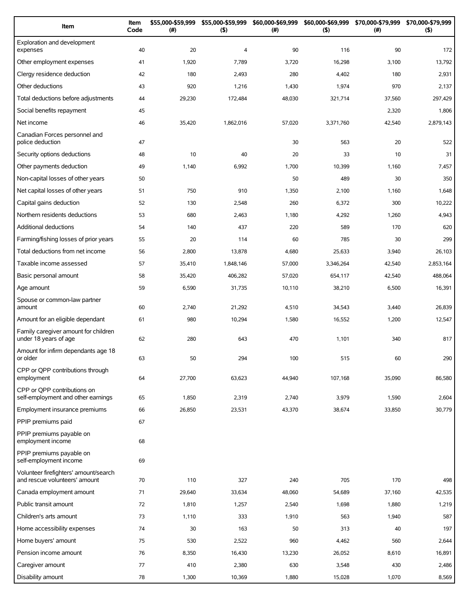| Item                                                                   | Item<br>Code | \$55,000-\$59,999<br>(#) | \$55,000-\$59,999<br>(5) | \$60,000-\$69,999<br>(#) | \$60,000-\$69,999<br>(5) | \$70,000-\$79,999<br>$(\#)$ | \$70,000-\$79,999<br>(5) |
|------------------------------------------------------------------------|--------------|--------------------------|--------------------------|--------------------------|--------------------------|-----------------------------|--------------------------|
| Exploration and development<br>expenses                                | 40           | 20                       | $\overline{4}$           | 90                       | 116                      | 90                          | 172                      |
| Other employment expenses                                              | 41           | 1,920                    | 7,789                    | 3,720                    | 16,298                   | 3,100                       | 13,792                   |
| Clergy residence deduction                                             | 42           | 180                      | 2,493                    | 280                      | 4,402                    | 180                         | 2,931                    |
| Other deductions                                                       | 43           | 920                      | 1,216                    | 1,430                    | 1,974                    | 970                         | 2,137                    |
| Total deductions before adjustments                                    | 44           | 29,230                   | 172,484                  | 48,030                   | 321,714                  | 37,560                      | 297,429                  |
| Social benefits repayment                                              | 45           |                          |                          |                          |                          | 2,320                       | 1,806                    |
| Net income                                                             | 46           | 35,420                   | 1,862,016                | 57,020                   | 3,371,760                | 42,540                      | 2,879,143                |
| Canadian Forces personnel and<br>police deduction                      | 47           |                          |                          | 30                       | 563                      | 20                          | 522                      |
| Security options deductions                                            | 48           | 10                       | 40                       | 20                       | 33                       | 10                          | 31                       |
| Other payments deduction                                               | 49           | 1,140                    | 6,992                    | 1,700                    | 10,399                   | 1,160                       | 7,457                    |
| Non-capital losses of other years                                      | 50           |                          |                          | 50                       | 489                      | 30                          | 350                      |
| Net capital losses of other years                                      | 51           | 750                      | 910                      | 1,350                    | 2,100                    | 1,160                       | 1,648                    |
| Capital gains deduction                                                | 52           | 130                      | 2,548                    | 260                      | 6,372                    | 300                         | 10,222                   |
| Northern residents deductions                                          | 53           | 680                      | 2,463                    | 1,180                    | 4,292                    | 1,260                       | 4,943                    |
| <b>Additional deductions</b>                                           | 54           | 140                      | 437                      | 220                      | 589                      | 170                         | 620                      |
| Farming/fishing losses of prior years                                  | 55           | 20                       | 114                      | 60                       | 785                      | 30                          | 299                      |
| Total deductions from net income                                       | 56           | 2,800                    | 13,878                   | 4,680                    | 25,633                   | 3,940                       | 26,103                   |
| Taxable income assessed                                                | 57           | 35,410                   | 1,848,146                | 57,000                   | 3,346,264                | 42,540                      | 2,853,164                |
| Basic personal amount                                                  | 58           | 35,420                   | 406,282                  | 57,020                   | 654,117                  | 42,540                      | 488,064                  |
| Age amount                                                             | 59           | 6,590                    | 31,735                   | 10,110                   | 38,210                   | 6,500                       | 16,391                   |
| Spouse or common-law partner<br>amount                                 | 60           | 2,740                    | 21,292                   | 4,510                    | 34,543                   | 3,440                       | 26,839                   |
| Amount for an eligible dependant                                       | 61           | 980                      | 10,294                   | 1,580                    | 16,552                   | 1,200                       | 12,547                   |
| Family caregiver amount for children<br>under 18 years of age          | 62           | 280                      | 643                      | 470                      | 1,101                    | 340                         | 817                      |
| Amount for infirm dependants age 18<br>or older                        | 63           | 50                       | 294                      | 100                      | 515                      | 60                          | 290                      |
| CPP or QPP contributions through<br>employment                         | 64           | 27,700                   | 63,623                   | 44,940                   | 107,168                  | 35,090                      | 86,580                   |
| CPP or OPP contributions on<br>self-employment and other earnings      | 65           | 1,850                    | 2,319                    | 2,740                    | 3,979                    | 1,590                       | 2,604                    |
| Employment insurance premiums                                          | 66           | 26,850                   | 23,531                   | 43,370                   | 38,674                   | 33,850                      | 30,779                   |
| PPIP premiums paid                                                     | 67           |                          |                          |                          |                          |                             |                          |
| PPIP premiums payable on<br>employment income                          | 68           |                          |                          |                          |                          |                             |                          |
| PPIP premiums payable on<br>self-employment income                     | 69           |                          |                          |                          |                          |                             |                          |
| Volunteer firefighters' amount/search<br>and rescue volunteers' amount | 70           | 110                      | 327                      | 240                      | 705                      | 170                         | 498                      |
| Canada employment amount                                               | 71           | 29,640                   | 33,634                   | 48,060                   | 54,689                   | 37,160                      | 42,535                   |
| Public transit amount                                                  | 72           | 1,810                    | 1,257                    | 2,540                    | 1,698                    | 1,880                       | 1,219                    |
| Children's arts amount                                                 | 73           | 1,110                    | 333                      | 1,910                    | 563                      | 1,940                       | 587                      |
| Home accessibility expenses                                            | 74           | 30                       | 163                      | 50                       | 313                      | 40                          | 197                      |
| Home buyers' amount                                                    | 75           | 530                      | 2,522                    | 960                      | 4,462                    | 560                         | 2,644                    |
| Pension income amount                                                  | 76           | 8,350                    | 16,430                   | 13,230                   | 26,052                   | 8,610                       | 16,891                   |
| Caregiver amount                                                       | 77           | 410                      | 2,380                    | 630                      | 3,548                    | 430                         | 2,486                    |
| Disability amount                                                      | 78           | 1,300                    | 10,369                   | 1,880                    | 15,028                   | 1,070                       | 8,569                    |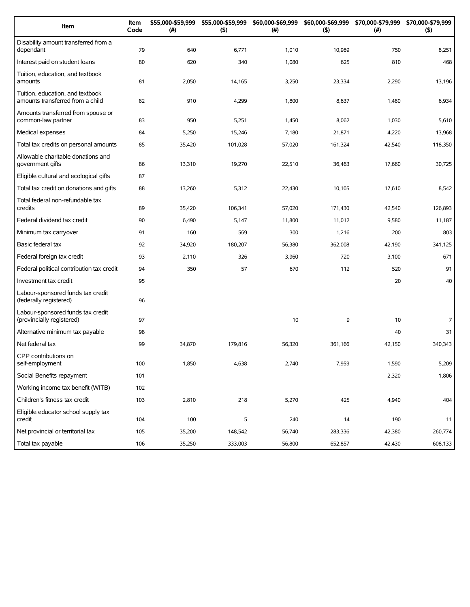| Item                                                                 | Item<br>Code | \$55,000-\$59,999<br>(#) | \$55,000-\$59,999<br>(5) | \$60,000-\$69,999<br>$(\#)$ | (5)     | \$60,000-\$69,999 \$70,000-\$79,999<br>$(\#)$ | \$70,000-\$79,999<br>(5) |
|----------------------------------------------------------------------|--------------|--------------------------|--------------------------|-----------------------------|---------|-----------------------------------------------|--------------------------|
| Disability amount transferred from a<br>dependant                    | 79           | 640                      | 6,771                    | 1,010                       | 10,989  | 750                                           | 8,251                    |
| Interest paid on student loans                                       | 80           | 620                      | 340                      | 1,080                       | 625     | 810                                           | 468                      |
| Tuition, education, and textbook<br>amounts                          | 81           | 2,050                    | 14,165                   | 3,250                       | 23,334  | 2,290                                         | 13,196                   |
| Tuition, education, and textbook<br>amounts transferred from a child | 82           | 910                      | 4,299                    | 1,800                       | 8,637   | 1,480                                         | 6,934                    |
| Amounts transferred from spouse or<br>common-law partner             | 83           | 950                      | 5,251                    | 1,450                       | 8,062   | 1,030                                         | 5,610                    |
| Medical expenses                                                     | 84           | 5,250                    | 15,246                   | 7,180                       | 21,871  | 4,220                                         | 13,968                   |
| Total tax credits on personal amounts                                | 85           | 35,420                   | 101,028                  | 57,020                      | 161,324 | 42,540                                        | 118,350                  |
| Allowable charitable donations and<br>government gifts               | 86           | 13,310                   | 19,270                   | 22,510                      | 36,463  | 17,660                                        | 30,725                   |
| Eligible cultural and ecological gifts                               | 87           |                          |                          |                             |         |                                               |                          |
| Total tax credit on donations and gifts                              | 88           | 13,260                   | 5,312                    | 22,430                      | 10,105  | 17,610                                        | 8,542                    |
| Total federal non-refundable tax<br>credits                          | 89           | 35,420                   | 106,341                  | 57,020                      | 171,430 | 42,540                                        | 126,893                  |
| Federal dividend tax credit                                          | 90           | 6,490                    | 5,147                    | 11,800                      | 11,012  | 9,580                                         | 11,187                   |
| Minimum tax carryover                                                | 91           | 160                      | 569                      | 300                         | 1,216   | 200                                           | 803                      |
| Basic federal tax                                                    | 92           | 34,920                   | 180,207                  | 56,380                      | 362,008 | 42,190                                        | 341,125                  |
| Federal foreign tax credit                                           | 93           | 2,110                    | 326                      | 3,960                       | 720     | 3,100                                         | 671                      |
| Federal political contribution tax credit                            | 94           | 350                      | 57                       | 670                         | 112     | 520                                           | 91                       |
| Investment tax credit                                                | 95           |                          |                          |                             |         | 20                                            | 40                       |
| Labour-sponsored funds tax credit<br>(federally registered)          | 96           |                          |                          |                             |         |                                               |                          |
| Labour-sponsored funds tax credit<br>(provincially registered)       | 97           |                          |                          | 10                          | 9       | 10                                            | 7                        |
| Alternative minimum tax payable                                      | 98           |                          |                          |                             |         | 40                                            | 31                       |
| Net federal tax                                                      | 99           | 34,870                   | 179,816                  | 56,320                      | 361,166 | 42,150                                        | 340,343                  |
| CPP contributions on<br>self-employment                              | 100          | 1,850                    | 4,638                    | 2,740                       | 7,959   | 1,590                                         | 5,209                    |
| Social Benefits repayment                                            | 101          |                          |                          |                             |         | 2,320                                         | 1,806                    |
| Working income tax benefit (WITB)                                    | 102          |                          |                          |                             |         |                                               |                          |
| Children's fitness tax credit                                        | 103          | 2,810                    | 218                      | 5,270                       | 425     | 4,940                                         | 404                      |
| Eligible educator school supply tax<br>credit                        | 104          | 100                      | 5                        | 240                         | 14      | 190                                           | 11                       |
| Net provincial or territorial tax                                    | 105          | 35,200                   | 148,542                  | 56,740                      | 283,336 | 42,380                                        | 260,774                  |
| Total tax payable                                                    | 106          | 35,250                   | 333,003                  | 56,800                      | 652,857 | 42,430                                        | 608,133                  |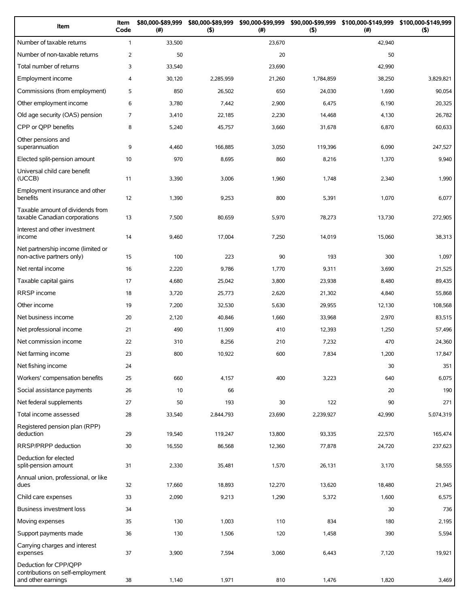| Item                                                                            | Item<br>Code   | \$80,000-\$89,999<br>$(\#)$ | \$80,000-\$89,999<br>$($ \$) | \$90,000-\$99,999<br>(#) | \$90,000-\$99,999<br>$($ \$) | \$100,000-\$149,999<br>(#) | \$100,000-\$149,999<br>$($ \$) |
|---------------------------------------------------------------------------------|----------------|-----------------------------|------------------------------|--------------------------|------------------------------|----------------------------|--------------------------------|
| Number of taxable returns                                                       | $\mathbf{1}$   | 33,500                      |                              | 23,670                   |                              | 42,940                     |                                |
| Number of non-taxable returns                                                   | $\overline{2}$ | 50                          |                              | 20                       |                              | 50                         |                                |
| Total number of returns                                                         | 3              | 33,540                      |                              | 23,690                   |                              | 42,990                     |                                |
| Employment income                                                               | $\overline{4}$ | 30,120                      | 2,285,959                    | 21,260                   | 1,784,859                    | 38,250                     | 3,829,821                      |
| Commissions (from employment)                                                   | 5              | 850                         | 26,502                       | 650                      | 24,030                       | 1,690                      | 90,054                         |
| Other employment income                                                         | 6              | 3,780                       | 7,442                        | 2,900                    | 6,475                        | 6,190                      | 20,325                         |
| Old age security (OAS) pension                                                  | 7              | 3,410                       | 22,185                       | 2,230                    | 14,468                       | 4,130                      | 26,782                         |
| CPP or QPP benefits                                                             | 8              | 5,240                       | 45,757                       | 3,660                    | 31,678                       | 6,870                      | 60,633                         |
| Other pensions and<br>superannuation                                            | 9              | 4,460                       | 166,885                      | 3,050                    | 119,396                      | 6,090                      | 247,527                        |
| Elected split-pension amount                                                    | 10             | 970                         | 8,695                        | 860                      | 8,216                        | 1,370                      | 9,940                          |
| Universal child care benefit<br>(UCCB)                                          | 11             | 3,390                       | 3,006                        | 1,960                    | 1,748                        | 2,340                      | 1,990                          |
| Employment insurance and other<br>benefits                                      | 12             | 1,390                       | 9,253                        | 800                      | 5,391                        | 1,070                      | 6,077                          |
| Taxable amount of dividends from<br>taxable Canadian corporations               | 13             | 7,500                       | 80,659                       | 5,970                    | 78,273                       | 13,730                     | 272,905                        |
| Interest and other investment<br>income                                         | 14             | 9,460                       | 17,004                       | 7,250                    | 14,019                       | 15,060                     | 38,313                         |
| Net partnership income (limited or<br>non-active partners only)                 | 15             | 100                         | 223                          | 90                       | 193                          | 300                        | 1,097                          |
| Net rental income                                                               | 16             | 2,220                       | 9,786                        | 1,770                    | 9,311                        | 3,690                      | 21,525                         |
| Taxable capital gains                                                           | 17             | 4,680                       | 25,042                       | 3,800                    | 23,938                       | 8,480                      | 89,435                         |
| RRSP income                                                                     | 18             | 3,720                       | 25,773                       | 2,620                    | 21,302                       | 4,840                      | 55,868                         |
| Other income                                                                    | 19             | 7,200                       | 32,530                       | 5,630                    | 29,955                       | 12,130                     | 108,568                        |
| Net business income                                                             | 20             | 2,120                       | 40,846                       | 1,660                    | 33,968                       | 2,970                      | 83,515                         |
| Net professional income                                                         | 21             | 490                         | 11,909                       | 410                      | 12,393                       | 1,250                      | 57,496                         |
| Net commission income                                                           | 22             | 310                         | 8,256                        | 210                      | 7,232                        | 470                        | 24,360                         |
| Net farming income                                                              | 23             | 800                         | 10,922                       | 600                      | 7,834                        | 1,200                      | 17,847                         |
| Net fishing income                                                              | 24             |                             |                              |                          |                              | 30                         | 351                            |
| Workers' compensation benefits                                                  | 25             | 660                         | 4,157                        | 400                      | 3,223                        | 640                        | 6,075                          |
| Social assistance payments                                                      | 26             | 10                          | 66                           |                          |                              | 20                         | 190                            |
| Net federal supplements                                                         | 27             | 50                          | 193                          | 30                       | 122                          | 90                         | 271                            |
| Total income assessed                                                           | 28             | 33,540                      | 2,844,793                    | 23,690                   | 2,239,927                    | 42,990                     | 5,074,319                      |
| Registered pension plan (RPP)<br>deduction                                      | 29             | 19,540                      | 119,247                      | 13,800                   | 93,335                       | 22,570                     | 165,474                        |
| RRSP/PRPP deduction                                                             | 30             | 16,550                      | 86,568                       | 12,360                   | 77,878                       | 24,720                     | 237,623                        |
| Deduction for elected<br>split-pension amount                                   | 31             | 2,330                       | 35,481                       | 1,570                    | 26,131                       | 3,170                      | 58,555                         |
| Annual union, professional, or like<br>dues                                     | 32             | 17,660                      | 18,893                       | 12,270                   | 13,620                       | 18,480                     | 21,945                         |
| Child care expenses                                                             | 33             | 2,090                       | 9,213                        | 1,290                    | 5,372                        | 1,600                      | 6,575                          |
| Business investment loss                                                        | 34             |                             |                              |                          |                              | 30                         | 736                            |
| Moving expenses                                                                 | 35             | 130                         | 1,003                        | 110                      | 834                          | 180                        | 2,195                          |
| Support payments made                                                           | 36             | 130                         | 1,506                        | 120                      | 1,458                        | 390                        | 5,594                          |
| Carrying charges and interest<br>expenses                                       | 37             | 3,900                       | 7,594                        | 3,060                    | 6,443                        | 7,120                      | 19,921                         |
| Deduction for CPP/QPP<br>contributions on self-employment<br>and other earnings | 38             | 1,140                       | 1,971                        | 810                      | 1,476                        | 1,820                      | 3,469                          |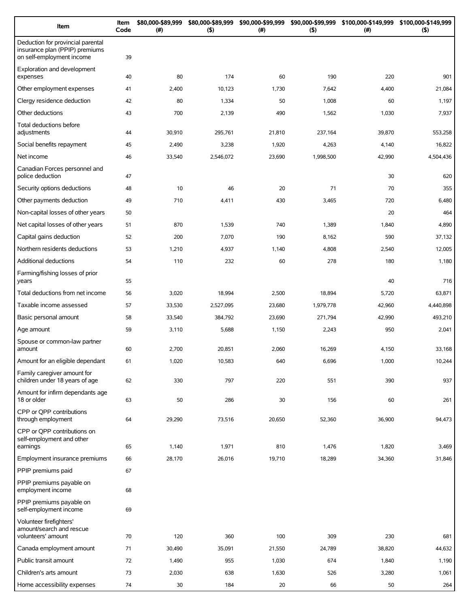| Item                                                                                             | Item<br>Code | \$80,000-\$89,999<br>(# ) | \$80,000-\$89,999<br>$($ \$) | \$90,000-\$99,999<br>(# ) | \$90,000-\$99,999<br>(5) | \$100,000-\$149,999<br>(#) | \$100,000-\$149,999<br>$($ \$) |
|--------------------------------------------------------------------------------------------------|--------------|---------------------------|------------------------------|---------------------------|--------------------------|----------------------------|--------------------------------|
| Deduction for provincial parental<br>insurance plan (PPIP) premiums<br>on self-employment income | 39           |                           |                              |                           |                          |                            |                                |
| Exploration and development<br>expenses                                                          | 40           | 80                        | 174                          | 60                        | 190                      | 220                        | 901                            |
| Other employment expenses                                                                        | 41           | 2,400                     | 10,123                       | 1,730                     | 7,642                    | 4,400                      | 21,084                         |
| Clergy residence deduction                                                                       | 42           | 80                        | 1,334                        | 50                        | 1,008                    | 60                         | 1,197                          |
| Other deductions                                                                                 | 43           | 700                       | 2,139                        | 490                       | 1,562                    | 1,030                      | 7,937                          |
| Total deductions before<br>adjustments                                                           | 44           | 30,910                    | 295,761                      | 21,810                    | 237,164                  | 39,870                     | 553,258                        |
| Social benefits repayment                                                                        | 45           | 2,490                     | 3,238                        | 1,920                     | 4,263                    | 4,140                      | 16,822                         |
| Net income                                                                                       | 46           | 33,540                    | 2,546,072                    | 23,690                    | 1,998,500                | 42,990                     | 4,504,436                      |
| Canadian Forces personnel and<br>police deduction                                                | 47           |                           |                              |                           |                          | 30                         | 620                            |
| Security options deductions                                                                      | 48           | 10                        | 46                           | 20                        | 71                       | 70                         | 355                            |
| Other payments deduction                                                                         | 49           | 710                       | 4,411                        | 430                       | 3,465                    | 720                        | 6,480                          |
| Non-capital losses of other years                                                                | 50           |                           |                              |                           |                          | 20                         | 464                            |
| Net capital losses of other years                                                                | 51           | 870                       | 1,539                        | 740                       | 1,389                    | 1,840                      | 4,890                          |
| Capital gains deduction                                                                          | 52           | 200                       | 7,070                        | 190                       | 8,162                    | 590                        | 37,132                         |
| Northern residents deductions                                                                    | 53           | 1,210                     | 4,937                        | 1,140                     | 4,808                    | 2,540                      | 12,005                         |
| Additional deductions                                                                            | 54           | 110                       | 232                          | 60                        | 278                      | 180                        | 1,180                          |
| Farming/fishing losses of prior<br>years                                                         | 55           |                           |                              |                           |                          | 40                         | 716                            |
| Total deductions from net income                                                                 | 56           | 3,020                     | 18,994                       | 2,500                     | 18,894                   | 5,720                      | 63,871                         |
| Taxable income assessed                                                                          | 57           | 33,530                    | 2,527,095                    | 23,680                    | 1,979,778                | 42,960                     | 4,440,898                      |
| Basic personal amount                                                                            | 58           | 33,540                    | 384,792                      | 23,690                    | 271,794                  | 42,990                     | 493,210                        |
| Age amount                                                                                       | 59           | 3,110                     | 5,688                        | 1,150                     | 2,243                    | 950                        | 2,041                          |
| Spouse or common-law partner<br>amount                                                           | 60           | 2,700                     | 20,851                       | 2,060                     | 16,269                   | 4,150                      | 33,168                         |
| Amount for an eligible dependant                                                                 | 61           | 1,020                     | 10,583                       | 640                       | 6,696                    | 1,000                      | 10,244                         |
| Family caregiver amount for<br>children under 18 years of age                                    | 62           | 330                       | 797                          | 220                       | 551                      | 390                        | 937                            |
| Amount for infirm dependants age<br>18 or older                                                  | 63           | 50                        | 286                          | 30                        | 156                      | 60                         | 261                            |
| CPP or OPP contributions<br>through employment                                                   | 64           | 29,290                    | 73,516                       | 20,650                    | 52,360                   | 36,900                     | 94,473                         |
| CPP or QPP contributions on<br>self-employment and other<br>earnings                             | 65           | 1,140                     | 1,971                        | 810                       | 1,476                    | 1,820                      | 3,469                          |
| Employment insurance premiums                                                                    | 66           | 28,170                    | 26,016                       | 19,710                    | 18,289                   | 34,360                     | 31,846                         |
| PPIP premiums paid                                                                               | 67           |                           |                              |                           |                          |                            |                                |
| PPIP premiums payable on<br>employment income                                                    | 68           |                           |                              |                           |                          |                            |                                |
| PPIP premiums payable on<br>self-employment income                                               | 69           |                           |                              |                           |                          |                            |                                |
| Volunteer firefighters'<br>amount/search and rescue<br>volunteers' amount                        | 70           | 120                       | 360                          | 100                       | 309                      | 230                        | 681                            |
| Canada employment amount                                                                         | 71           | 30,490                    | 35,091                       | 21,550                    | 24,789                   | 38,820                     | 44,632                         |
| Public transit amount                                                                            | 72           | 1,490                     | 955                          | 1,030                     | 674                      | 1,840                      | 1,190                          |
| Children's arts amount                                                                           | 73           | 2,030                     | 638                          | 1,630                     | 526                      | 3,280                      | 1,061                          |
| Home accessibility expenses                                                                      | 74           | 30                        | 184                          | 20                        | 66                       | 50                         | 264                            |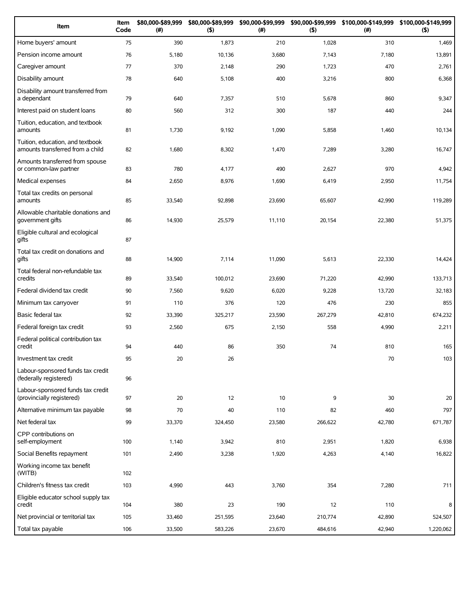| Item                                                                 | Item<br>Code | \$80,000-\$89,999<br>(#) | \$80,000-\$89,999<br>(5) | \$90,000-\$99,999<br>(# ) | \$90,000-\$99,999<br>(5) | \$100,000-\$149,999<br>(# ) | \$100,000-\$149,999<br>$($ \$) |
|----------------------------------------------------------------------|--------------|--------------------------|--------------------------|---------------------------|--------------------------|-----------------------------|--------------------------------|
| Home buyers' amount                                                  | 75           | 390                      | 1,873                    | 210                       | 1,028                    | 310                         | 1,469                          |
| Pension income amount                                                | 76           | 5,180                    | 10,136                   | 3,680                     | 7,143                    | 7,180                       | 13,891                         |
| Caregiver amount                                                     | 77           | 370                      | 2,148                    | 290                       | 1,723                    | 470                         | 2,761                          |
| Disability amount                                                    | 78           | 640                      | 5,108                    | 400                       | 3,216                    | 800                         | 6,368                          |
| Disability amount transferred from<br>a dependant                    | 79           | 640                      | 7,357                    | 510                       | 5,678                    | 860                         | 9,347                          |
| Interest paid on student loans                                       | 80           | 560                      | 312                      | 300                       | 187                      | 440                         | 244                            |
| Tuition, education, and textbook<br>amounts                          | 81           | 1,730                    | 9,192                    | 1,090                     | 5,858                    | 1,460                       | 10,134                         |
| Tuition, education, and textbook<br>amounts transferred from a child | 82           | 1,680                    | 8,302                    | 1,470                     | 7,289                    | 3,280                       | 16,747                         |
| Amounts transferred from spouse<br>or common-law partner             | 83           | 780                      | 4,177                    | 490                       | 2,627                    | 970                         | 4,942                          |
| Medical expenses                                                     | 84           | 2,650                    | 8,976                    | 1,690                     | 6,419                    | 2,950                       | 11,754                         |
| Total tax credits on personal<br>amounts                             | 85           | 33,540                   | 92,898                   | 23,690                    | 65,607                   | 42,990                      | 119,289                        |
| Allowable charitable donations and<br>government gifts               | 86           | 14,930                   | 25,579                   | 11,110                    | 20,154                   | 22,380                      | 51,375                         |
| Eligible cultural and ecological<br>gifts                            | 87           |                          |                          |                           |                          |                             |                                |
| Total tax credit on donations and<br>gifts                           | 88           | 14,900                   | 7,114                    | 11,090                    | 5,613                    | 22,330                      | 14,424                         |
| Total federal non-refundable tax<br>credits                          | 89           | 33,540                   | 100,012                  | 23,690                    | 71,220                   | 42,990                      | 133,713                        |
| Federal dividend tax credit                                          | 90           | 7,560                    | 9,620                    | 6,020                     | 9,228                    | 13,720                      | 32,183                         |
| Minimum tax carryover                                                | 91           | 110                      | 376                      | 120                       | 476                      | 230                         | 855                            |
| Basic federal tax                                                    | 92           | 33,390                   | 325,217                  | 23,590                    | 267,279                  | 42,810                      | 674,232                        |
| Federal foreign tax credit                                           | 93           | 2,560                    | 675                      | 2,150                     | 558                      | 4,990                       | 2,211                          |
| Federal political contribution tax<br>credit                         | 94           | 440                      | 86                       | 350                       | 74                       | 810                         | 165                            |
| Investment tax credit                                                | 95           | 20                       | 26                       |                           |                          | 70                          | 103                            |
| Labour-sponsored funds tax credit<br>(federally registered)          | 96           |                          |                          |                           |                          |                             |                                |
| Labour-sponsored funds tax credit<br>(provincially registered)       | 97           | 20                       | 12                       | 10                        | 9                        | 30                          | 20                             |
| Alternative minimum tax payable                                      | 98           | 70                       | 40                       | 110                       | 82                       | 460                         | 797                            |
| Net federal tax                                                      | 99           | 33,370                   | 324,450                  | 23,580                    | 266,622                  | 42,780                      | 671,787                        |
| CPP contributions on<br>self-employment                              | 100          | 1,140                    | 3,942                    | 810                       | 2,951                    | 1,820                       | 6,938                          |
| Social Benefits repayment                                            | 101          | 2,490                    | 3,238                    | 1,920                     | 4,263                    | 4,140                       | 16,822                         |
| Working income tax benefit<br>(WITB)                                 | 102          |                          |                          |                           |                          |                             |                                |
| Children's fitness tax credit                                        | 103          | 4,990                    | 443                      | 3,760                     | 354                      | 7,280                       | 711                            |
| Eligible educator school supply tax<br>credit                        | 104          | 380                      | 23                       | 190                       | 12                       | 110                         | 8                              |
| Net provincial or territorial tax                                    | 105          | 33,460                   | 251,595                  | 23,640                    | 210,774                  | 42,890                      | 524,507                        |
| Total tax payable                                                    | 106          | 33,500                   | 583,226                  | 23,670                    | 484,616                  | 42,940                      | 1,220,062                      |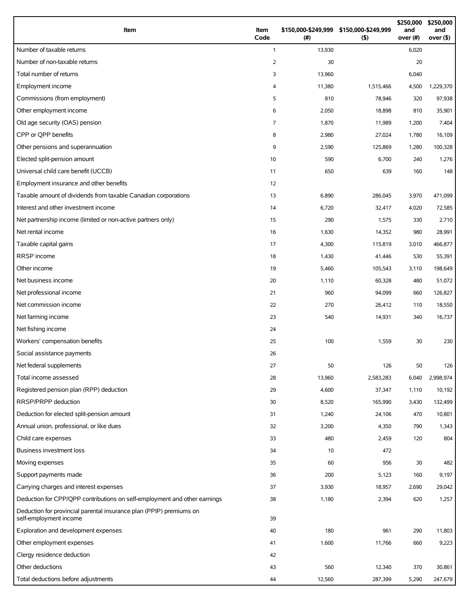| Item                                                                                          | Item<br>Code   | \$150,000-\$249,999 \$150,000-\$249,999<br>(# ) | (5)       | \$250,000<br>and<br>over (#) | \$250,000<br>and<br>over $($ \$) |
|-----------------------------------------------------------------------------------------------|----------------|-------------------------------------------------|-----------|------------------------------|----------------------------------|
| Number of taxable returns                                                                     | $\mathbf{1}$   | 13,930                                          |           | 6,020                        |                                  |
| Number of non-taxable returns                                                                 | $\overline{2}$ | 30                                              |           | 20                           |                                  |
| Total number of returns                                                                       | 3              | 13,960                                          |           | 6,040                        |                                  |
| Employment income                                                                             | 4              | 11,380                                          | 1,515,466 | 4,500                        | 1,229,370                        |
| Commissions (from employment)                                                                 | 5              | 810                                             | 78,946    | 320                          | 97,938                           |
| Other employment income                                                                       | 6              | 2,050                                           | 18,898    | 810                          | 35,901                           |
| Old age security (OAS) pension                                                                | $\overline{7}$ | 1,870                                           | 11,989    | 1,200                        | 7,404                            |
| CPP or OPP benefits                                                                           | 8              | 2,980                                           | 27,024    | 1,780                        | 16,109                           |
| Other pensions and superannuation                                                             | 9              | 2,590                                           | 125,869   | 1,280                        | 100,328                          |
| Elected split-pension amount                                                                  | 10             | 590                                             | 6,700     | 240                          | 1,276                            |
| Universal child care benefit (UCCB)                                                           | 11             | 650                                             | 639       | 160                          | 148                              |
| Employment insurance and other benefits                                                       | 12             |                                                 |           |                              |                                  |
| Taxable amount of dividends from taxable Canadian corporations                                | 13             | 6,890                                           | 286,045   | 3,970                        | 471,099                          |
| Interest and other investment income                                                          | 14             | 6,720                                           | 32,417    | 4,020                        | 72,585                           |
| Net partnership income (limited or non-active partners only)                                  | 15             | 290                                             | 1,575     | 330                          | 2,710                            |
| Net rental income                                                                             | 16             | 1,630                                           | 14,352    | 980                          | 28,991                           |
| Taxable capital gains                                                                         | 17             | 4,300                                           | 115,819   | 3,010                        | 466,877                          |
| RRSP income                                                                                   | 18             | 1,430                                           | 41,446    | 530                          | 55,391                           |
| Other income                                                                                  | 19             | 5,460                                           | 105,543   | 3,110                        | 198,649                          |
| Net business income                                                                           | 20             | 1,110                                           | 60,328    | 480                          | 51,072                           |
| Net professional income                                                                       | 21             | 960                                             | 94,099    | 660                          | 126,827                          |
| Net commission income                                                                         | 22             | 270                                             | 26,412    | 110                          | 18,550                           |
| Net farming income                                                                            | 23             | 540                                             | 14,931    | 340                          | 16,737                           |
| Net fishing income                                                                            | 24             |                                                 |           |                              |                                  |
| Workers' compensation benefits                                                                | 25             | 100                                             | 1,559     | 30                           | 230                              |
| Social assistance payments                                                                    | 26             |                                                 |           |                              |                                  |
| Net federal supplements                                                                       | 27             | 50                                              | 126       | 50                           | 126                              |
| Total income assessed                                                                         | 28             | 13,960                                          | 2,583,283 | 6,040                        | 2,998,974                        |
| Registered pension plan (RPP) deduction                                                       | 29             | 4,600                                           | 37,347    | 1,110                        | 10,192                           |
| RRSP/PRPP deduction                                                                           | 30             | 8,520                                           | 165,990   | 3,430                        | 132,499                          |
| Deduction for elected split-pension amount                                                    | 31             | 1,240                                           | 24,106    | 470                          | 10,801                           |
| Annual union, professional, or like dues                                                      | 32             | 3,200                                           | 4,350     | 790                          | 1,343                            |
| Child care expenses                                                                           | 33             | 480                                             | 2,459     | 120                          | 804                              |
| Business investment loss                                                                      | 34             | 10                                              | 472       |                              |                                  |
| Moving expenses                                                                               | 35             | 60                                              | 956       | 30                           | 482                              |
| Support payments made                                                                         | 36             | 200                                             | 5,123     | 160                          | 9,197                            |
| Carrying charges and interest expenses                                                        | 37             | 3,930                                           | 18,957    | 2,690                        | 29,042                           |
| Deduction for CPP/QPP contributions on self-employment and other earnings                     | 38             | 1,180                                           | 2,394     | 620                          | 1,257                            |
| Deduction for provincial parental insurance plan (PPIP) premiums on<br>self-employment income | 39             |                                                 |           |                              |                                  |
| Exploration and development expenses                                                          | 40             | 180                                             | 961       | 290                          | 11,803                           |
| Other employment expenses                                                                     | 41             | 1,600                                           | 11,766    | 660                          | 9,223                            |
| Clergy residence deduction                                                                    | 42             |                                                 |           |                              |                                  |
| Other deductions                                                                              | 43             | 560                                             | 12,340    | 370                          | 30,861                           |
| Total deductions before adjustments                                                           | 44             | 12,560                                          | 287,399   | 5,290                        | 247,679                          |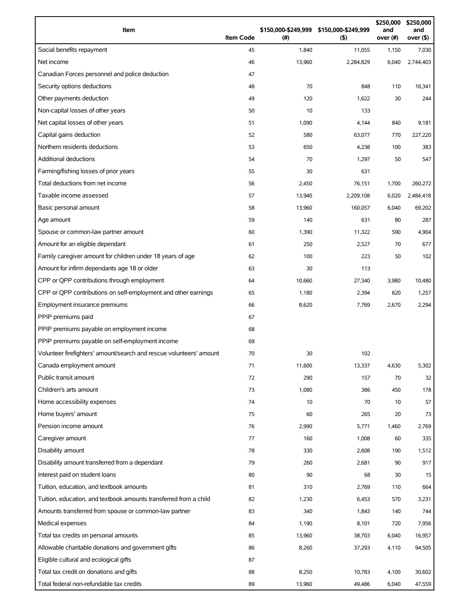| Item                                                                | <b>Item Code</b> | (#)    | \$150,000-\$249,999 \$150,000-\$249,999<br>$($ \$) | \$250,000<br>and<br>over (#) | \$250,000<br>and<br>over (\$) |
|---------------------------------------------------------------------|------------------|--------|----------------------------------------------------|------------------------------|-------------------------------|
| Social benefits repayment                                           | 45               | 1,840  | 11,055                                             | 1,150                        | 7,030                         |
| Net income                                                          | 46               | 13,960 | 2,284,829                                          | 6,040                        | 2,744,403                     |
| Canadian Forces personnel and police deduction                      | 47               |        |                                                    |                              |                               |
| Security options deductions                                         | 48               | 70     | 848                                                | 110                          | 16,341                        |
| Other payments deduction                                            | 49               | 120    | 1,622                                              | 30                           | 244                           |
| Non-capital losses of other years                                   | 50               | 10     | 133                                                |                              |                               |
| Net capital losses of other years                                   | 51               | 1,090  | 4,144                                              | 840                          | 9,181                         |
| Capital gains deduction                                             | 52               | 580    | 63,077                                             | 770                          | 227,220                       |
| Northern residents deductions                                       | 53               | 650    | 4,238                                              | 100                          | 383                           |
| Additional deductions                                               | 54               | 70     | 1,297                                              | 50                           | 547                           |
| Farming/fishing losses of prior years                               | 55               | 30     | 631                                                |                              |                               |
| Total deductions from net income                                    | 56               | 2,450  | 76,151                                             | 1,700                        | 260,272                       |
| Taxable income assessed                                             | 57               | 13,940 | 2,209,108                                          | 6,020                        | 2,484,418                     |
| Basic personal amount                                               | 58               | 13,960 | 160,057                                            | 6,040                        | 69,202                        |
| Age amount                                                          | 59               | 140    | 631                                                | 80                           | 287                           |
| Spouse or common-law partner amount                                 | 60               | 1,390  | 11,322                                             | 590                          | 4,904                         |
| Amount for an eligible dependant                                    | 61               | 250    | 2,527                                              | 70                           | 677                           |
| Family caregiver amount for children under 18 years of age          | 62               | 100    | 223                                                | 50                           | 102                           |
| Amount for infirm dependants age 18 or older                        | 63               | 30     | 113                                                |                              |                               |
| CPP or QPP contributions through employment                         | 64               | 10,660 | 27,340                                             | 3,980                        | 10,480                        |
| CPP or QPP contributions on self-employment and other earnings      | 65               | 1,180  | 2,394                                              | 620                          | 1,257                         |
| Employment insurance premiums                                       | 66               | 8,620  | 7,769                                              | 2,670                        | 2,294                         |
| PPIP premiums paid                                                  | 67               |        |                                                    |                              |                               |
| PPIP premiums payable on employment income                          | 68               |        |                                                    |                              |                               |
| PPIP premiums payable on self-employment income                     | 69               |        |                                                    |                              |                               |
| Volunteer firefighters' amount/search and rescue volunteers' amount | 70               | 30     | 102                                                |                              |                               |
| Canada employment amount                                            | 71               | 11,600 | 13,337                                             | 4,630                        | 5,302                         |
| Public transit amount                                               | 72               | 290    | 157                                                | 70                           | 32                            |
| Children's arts amount                                              | 73               | 1,080  | 386                                                | 450                          | 178                           |
| Home accessibility expenses                                         | 74               | 10     | 70                                                 | 10                           | 57                            |
| Home buyers' amount                                                 | 75               | 60     | 265                                                | 20                           | 73                            |
| Pension income amount                                               | 76               | 2,990  | 5,771                                              | 1,460                        | 2,769                         |
| Caregiver amount                                                    | 77               | 160    | 1,008                                              | 60                           | 335                           |
| Disability amount                                                   | 78               | 330    | 2,608                                              | 190                          | 1,512                         |
| Disability amount transferred from a dependant                      | 79               | 260    | 2,681                                              | 90                           | 917                           |
| Interest paid on student loans                                      | 80               | 90     | 68                                                 | 30                           | 15                            |
| Tuition, education, and textbook amounts                            | 81               | 310    | 2,769                                              | 110                          | 664                           |
| Tuition, education, and textbook amounts transferred from a child   | 82               | 1,230  | 6,453                                              | 570                          | 3,231                         |
| Amounts transferred from spouse or common-law partner               | 83               | 340    | 1,843                                              | 140                          | 744                           |
| Medical expenses                                                    | 84               | 1,190  | 8,101                                              | 720                          | 7,956                         |
| Total tax credits on personal amounts                               | 85               | 13,960 | 38,703                                             | 6,040                        | 16,957                        |
| Allowable charitable donations and government gifts                 | 86               | 8,260  | 37,293                                             | 4,110                        | 94,505                        |
| Eligible cultural and ecological gifts                              | 87               |        |                                                    |                              |                               |
| Total tax credit on donations and gifts                             | 88               | 8,250  | 10,783                                             | 4,100                        | 30,602                        |
| Total federal non-refundable tax credits                            | 89               | 13,960 | 49,486                                             | 6,040                        | 47,559                        |